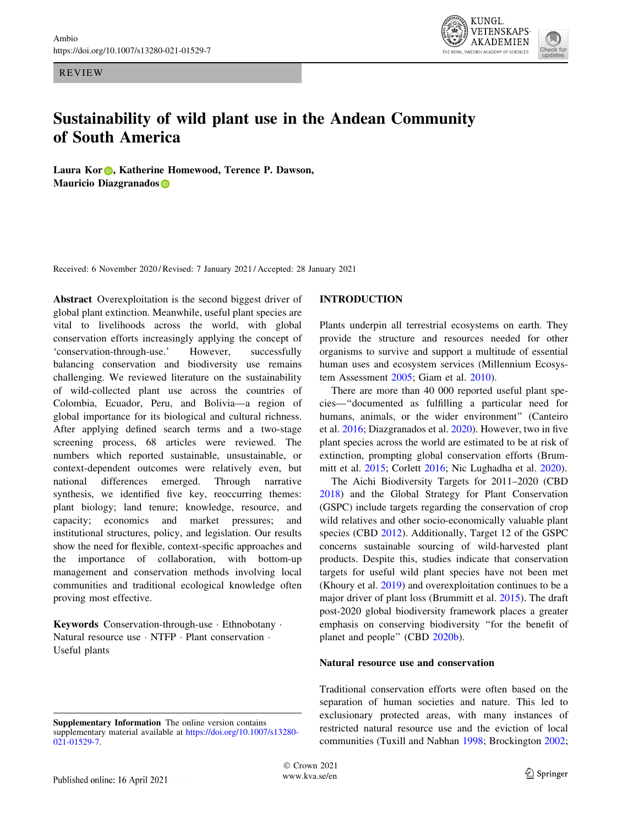REVIEW



# Sustainability of wild plant use in the Andean Community of South America

Lau[r](http://orcid.org/0000-0003-4244-960X)a Kor **D**, Katherine Homewood, Terence P. Dawson, Mauricio Diazgranados<sup>6</sup>

Received: 6 November 2020 / Revised: 7 January 2021 / Accepted: 28 January 2021

Abstract Overexploitation is the second biggest driver of global plant extinction. Meanwhile, useful plant species are vital to livelihoods across the world, with global conservation efforts increasingly applying the concept of 'conservation-through-use.' However, successfully balancing conservation and biodiversity use remains challenging. We reviewed literature on the sustainability of wild-collected plant use across the countries of Colombia, Ecuador, Peru, and Bolivia—a region of global importance for its biological and cultural richness. After applying defined search terms and a two-stage screening process, 68 articles were reviewed. The numbers which reported sustainable, unsustainable, or context-dependent outcomes were relatively even, but national differences emerged. Through narrative synthesis, we identified five key, reoccurring themes: plant biology; land tenure; knowledge, resource, and capacity; economics and market pressures; and institutional structures, policy, and legislation. Our results show the need for flexible, context-specific approaches and the importance of collaboration, with bottom-up management and conservation methods involving local communities and traditional ecological knowledge often proving most effective.

Keywords Conservation-through-use - Ethnobotany - Natural resource use · NTFP · Plant conservation · Useful plants

## INTRODUCTION

Plants underpin all terrestrial ecosystems on earth. They provide the structure and resources needed for other organisms to survive and support a multitude of essential human uses and ecosystem services (Millennium Ecosystem Assessment [2005;](#page-14-0) Giam et al. [2010](#page-14-0)).

There are more than 40 000 reported useful plant species—''documented as fulfilling a particular need for humans, animals, or the wider environment" (Canteiro et al. [2016;](#page-13-0) Diazgranados et al. [2020](#page-13-0)). However, two in five plant species across the world are estimated to be at risk of extinction, prompting global conservation efforts (Brummitt et al. [2015](#page-13-0); Corlett [2016;](#page-13-0) Nic Lughadha et al. [2020\)](#page-14-0).

The Aichi Biodiversity Targets for 2011–2020 (CBD [2018](#page-13-0)) and the Global Strategy for Plant Conservation (GSPC) include targets regarding the conservation of crop wild relatives and other socio-economically valuable plant species (CBD [2012](#page-13-0)). Additionally, Target 12 of the GSPC concerns sustainable sourcing of wild-harvested plant products. Despite this, studies indicate that conservation targets for useful wild plant species have not been met (Khoury et al. [2019\)](#page-14-0) and overexploitation continues to be a major driver of plant loss (Brummitt et al. [2015](#page-13-0)). The draft post-2020 global biodiversity framework places a greater emphasis on conserving biodiversity ''for the benefit of planet and people'' (CBD [2020b](#page-13-0)).

#### Natural resource use and conservation

Traditional conservation efforts were often based on the separation of human societies and nature. This led to exclusionary protected areas, with many instances of restricted natural resource use and the eviction of local communities (Tuxill and Nabhan [1998;](#page-15-0) Brockington [2002](#page-13-0);

Supplementary Information The online version contains supplementary material available at [https://doi.org/10.1007/s13280-](https://doi.org/10.1007/s13280-021-01529-7) [021-01529-7](https://doi.org/10.1007/s13280-021-01529-7).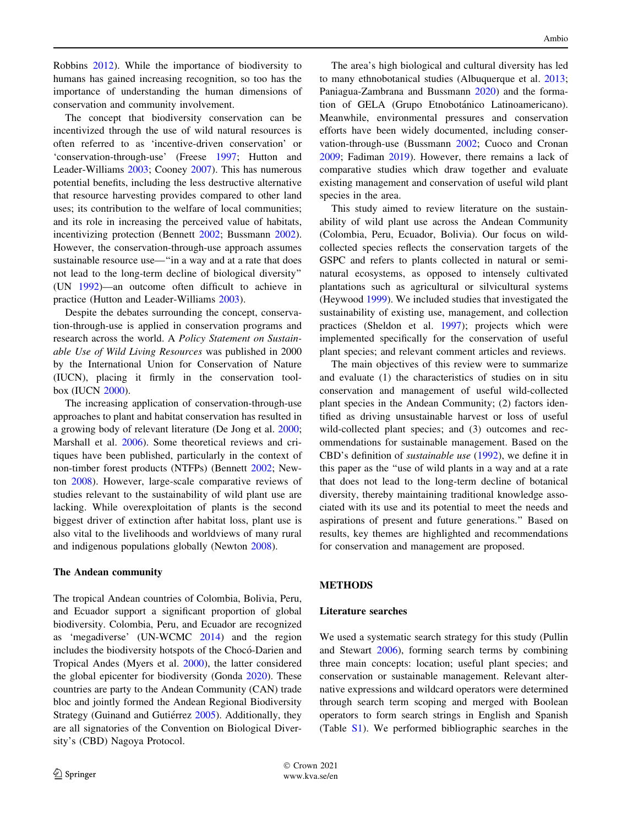Robbins [2012](#page-15-0)). While the importance of biodiversity to humans has gained increasing recognition, so too has the importance of understanding the human dimensions of conservation and community involvement.

The concept that biodiversity conservation can be incentivized through the use of wild natural resources is often referred to as 'incentive-driven conservation' or 'conservation-through-use' (Freese [1997;](#page-14-0) Hutton and Leader-Williams [2003](#page-14-0); Cooney [2007\)](#page-13-0). This has numerous potential benefits, including the less destructive alternative that resource harvesting provides compared to other land uses; its contribution to the welfare of local communities; and its role in increasing the perceived value of habitats, incentivizing protection (Bennett [2002;](#page-13-0) Bussmann [2002](#page-13-0)). However, the conservation-through-use approach assumes sustainable resource use—''in a way and at a rate that does not lead to the long-term decline of biological diversity'' (UN [1992](#page-15-0))—an outcome often difficult to achieve in practice (Hutton and Leader-Williams [2003\)](#page-14-0).

Despite the debates surrounding the concept, conservation-through-use is applied in conservation programs and research across the world. A Policy Statement on Sustainable Use of Wild Living Resources was published in 2000 by the International Union for Conservation of Nature (IUCN), placing it firmly in the conservation toolbox (IUCN [2000](#page-14-0)).

The increasing application of conservation-through-use approaches to plant and habitat conservation has resulted in a growing body of relevant literature (De Jong et al. [2000](#page-13-0); Marshall et al. [2006\)](#page-14-0). Some theoretical reviews and critiques have been published, particularly in the context of non-timber forest products (NTFPs) (Bennett [2002;](#page-13-0) Newton [2008](#page-14-0)). However, large-scale comparative reviews of studies relevant to the sustainability of wild plant use are lacking. While overexploitation of plants is the second biggest driver of extinction after habitat loss, plant use is also vital to the livelihoods and worldviews of many rural and indigenous populations globally (Newton [2008](#page-14-0)).

#### The Andean community

The tropical Andean countries of Colombia, Bolivia, Peru, and Ecuador support a significant proportion of global biodiversity. Colombia, Peru, and Ecuador are recognized as 'megadiverse' (UN-WCMC [2014](#page-15-0)) and the region includes the biodiversity hotspots of the Chocó-Darien and Tropical Andes (Myers et al. [2000](#page-14-0)), the latter considered the global epicenter for biodiversity (Gonda [2020\)](#page-14-0). These countries are party to the Andean Community (CAN) trade bloc and jointly formed the Andean Regional Biodiversity Strategy (Guinand and Gutiérrez [2005\)](#page-14-0). Additionally, they are all signatories of the Convention on Biological Diversity's (CBD) Nagoya Protocol.

The area's high biological and cultural diversity has led to many ethnobotanical studies (Albuquerque et al. [2013](#page-13-0); Paniagua-Zambrana and Bussmann [2020\)](#page-15-0) and the formation of GELA (Grupo Etnobotánico Latinoamericano). Meanwhile, environmental pressures and conservation efforts have been widely documented, including conservation-through-use (Bussmann [2002;](#page-13-0) Cuoco and Cronan [2009](#page-13-0); Fadiman [2019](#page-13-0)). However, there remains a lack of comparative studies which draw together and evaluate existing management and conservation of useful wild plant species in the area.

This study aimed to review literature on the sustainability of wild plant use across the Andean Community (Colombia, Peru, Ecuador, Bolivia). Our focus on wildcollected species reflects the conservation targets of the GSPC and refers to plants collected in natural or seminatural ecosystems, as opposed to intensely cultivated plantations such as agricultural or silvicultural systems (Heywood [1999\)](#page-14-0). We included studies that investigated the sustainability of existing use, management, and collection practices (Sheldon et al. [1997](#page-15-0)); projects which were implemented specifically for the conservation of useful plant species; and relevant comment articles and reviews.

The main objectives of this review were to summarize and evaluate (1) the characteristics of studies on in situ conservation and management of useful wild-collected plant species in the Andean Community; (2) factors identified as driving unsustainable harvest or loss of useful wild-collected plant species; and (3) outcomes and recommendations for sustainable management. Based on the CBD's definition of sustainable use [\(1992](#page-13-0)), we define it in this paper as the ''use of wild plants in a way and at a rate that does not lead to the long-term decline of botanical diversity, thereby maintaining traditional knowledge associated with its use and its potential to meet the needs and aspirations of present and future generations.'' Based on results, key themes are highlighted and recommendations for conservation and management are proposed.

## METHODS

## Literature searches

We used a systematic search strategy for this study (Pullin and Stewart [2006\)](#page-15-0), forming search terms by combining three main concepts: location; useful plant species; and conservation or sustainable management. Relevant alternative expressions and wildcard operators were determined through search term scoping and merged with Boolean operators to form search strings in English and Spanish (Table [S1](https://doi.org/10.1007/s13280-021-01529-7)). We performed bibliographic searches in the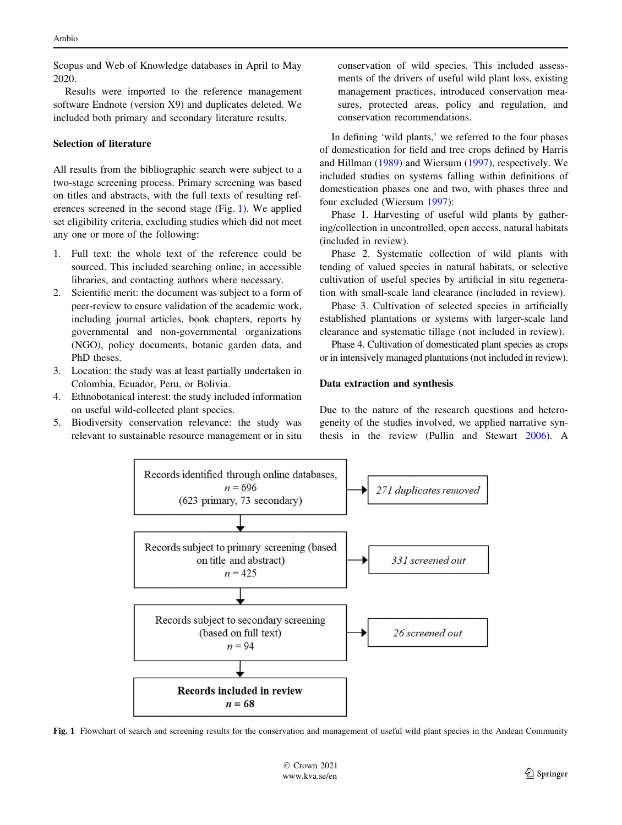<span id="page-2-0"></span>Scopus and Web of Knowledge databases in April to May 2020.

Results were imported to the reference management software Endnote (version X9) and duplicates deleted. We included both primary and secondary literature results.

# Selection of literature

All results from the bibliographic search were subject to a two-stage screening process. Primary screening was based on titles and abstracts, with the full texts of resulting references screened in the second stage (Fig. 1). We applied set eligibility criteria, excluding studies which did not meet any one or more of the following:

- 1. Full text: the whole text of the reference could be sourced. This included searching online, in accessible libraries, and contacting authors where necessary.
- 2. Scientific merit: the document was subject to a form of peer-review to ensure validation of the academic work, including journal articles, book chapters, reports by governmental and non-governmental organizations (NGO), policy documents, botanic garden data, and PhD theses.
- 3. Location: the study was at least partially undertaken in Colombia, Ecuador, Peru, or Bolivia.
- 4. Ethnobotanical interest: the study included information on useful wild-collected plant species.
- 5. Biodiversity conservation relevance: the study was relevant to sustainable resource management or in situ

conservation of wild species. This included assessments of the drivers of useful wild plant loss, existing management practices, introduced conservation measures, protected areas, policy and regulation, and conservation recommendations.

In defining 'wild plants,' we referred to the four phases of domestication for field and tree crops defined by Harris and Hillman [\(1989](#page-14-0)) and Wiersum [\(1997](#page-15-0)), respectively. We included studies on systems falling within definitions of domestication phases one and two, with phases three and four excluded (Wiersum [1997\)](#page-15-0):

Phase 1. Harvesting of useful wild plants by gathering/collection in uncontrolled, open access, natural habitats (included in review).

Phase 2. Systematic collection of wild plants with tending of valued species in natural habitats, or selective cultivation of useful species by artificial in situ regeneration with small-scale land clearance (included in review).

Phase 3. Cultivation of selected species in artificially established plantations or systems with larger-scale land clearance and systematic tillage (not included in review).

Phase 4. Cultivation of domesticated plant species as crops or in intensively managed plantations (not included in review).

# Data extraction and synthesis

Due to the nature of the research questions and heterogeneity of the studies involved, we applied narrative synthesis in the review (Pullin and Stewart [2006](#page-15-0)). A



Fig. 1 Flowchart of search and screening results for the conservation and management of useful wild plant species in the Andean Community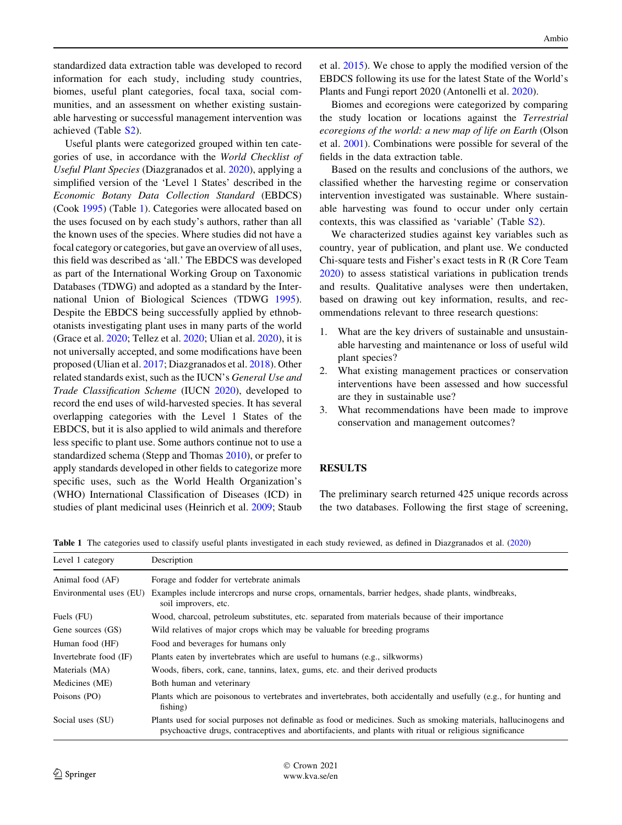<span id="page-3-0"></span>standardized data extraction table was developed to record information for each study, including study countries, biomes, useful plant categories, focal taxa, social communities, and an assessment on whether existing sustainable harvesting or successful management intervention was achieved (Table [S2](https://doi.org/10.1007/s13280-021-01529-7)).

Useful plants were categorized grouped within ten categories of use, in accordance with the World Checklist of Useful Plant Species (Diazgranados et al. [2020\)](#page-13-0), applying a simplified version of the 'Level 1 States' described in the Economic Botany Data Collection Standard (EBDCS) (Cook [1995\)](#page-13-0) (Table 1). Categories were allocated based on the uses focused on by each study's authors, rather than all the known uses of the species. Where studies did not have a focal category or categories, but gave an overview of all uses, this field was described as 'all.' The EBDCS was developed as part of the International Working Group on Taxonomic Databases (TDWG) and adopted as a standard by the International Union of Biological Sciences (TDWG [1995](#page-15-0)). Despite the EBDCS being successfully applied by ethnobotanists investigating plant uses in many parts of the world (Grace et al. [2020;](#page-14-0) Tellez et al. [2020;](#page-15-0) Ulian et al. [2020\)](#page-15-0), it is not universally accepted, and some modifications have been proposed (Ulian et al. [2017](#page-15-0); Diazgranados et al. [2018\)](#page-13-0). Other related standards exist, such as the IUCN's General Use and Trade Classification Scheme (IUCN [2020\)](#page-14-0), developed to record the end uses of wild-harvested species. It has several overlapping categories with the Level 1 States of the EBDCS, but it is also applied to wild animals and therefore less specific to plant use. Some authors continue not to use a standardized schema (Stepp and Thomas [2010](#page-15-0)), or prefer to apply standards developed in other fields to categorize more specific uses, such as the World Health Organization's (WHO) International Classification of Diseases (ICD) in studies of plant medicinal uses (Heinrich et al. [2009;](#page-14-0) Staub

et al. [2015\)](#page-15-0). We chose to apply the modified version of the EBDCS following its use for the latest State of the World's Plants and Fungi report 2020 (Antonelli et al. [2020](#page-13-0)).

Biomes and ecoregions were categorized by comparing the study location or locations against the Terrestrial ecoregions of the world: a new map of life on Earth (Olson et al. [2001](#page-14-0)). Combinations were possible for several of the fields in the data extraction table.

Based on the results and conclusions of the authors, we classified whether the harvesting regime or conservation intervention investigated was sustainable. Where sustainable harvesting was found to occur under only certain contexts, this was classified as 'variable' (Table [S2](https://doi.org/10.1007/s13280-021-01529-7)).

We characterized studies against key variables such as country, year of publication, and plant use. We conducted Chi-square tests and Fisher's exact tests in R (R Core Team [2020](#page-15-0)) to assess statistical variations in publication trends and results. Qualitative analyses were then undertaken, based on drawing out key information, results, and recommendations relevant to three research questions:

- 1. What are the key drivers of sustainable and unsustainable harvesting and maintenance or loss of useful wild plant species?
- 2. What existing management practices or conservation interventions have been assessed and how successful are they in sustainable use?
- 3. What recommendations have been made to improve conservation and management outcomes?

# **RESULTS**

The preliminary search returned 425 unique records across the two databases. Following the first stage of screening,

| Level 1 category        | Description                                                                                                                                                                                                                 |
|-------------------------|-----------------------------------------------------------------------------------------------------------------------------------------------------------------------------------------------------------------------------|
| Animal food (AF)        | Forage and fodder for vertebrate animals                                                                                                                                                                                    |
| Environmental uses (EU) | Examples include intercrops and nurse crops, ornamentals, barrier hedges, shade plants, windbreaks,<br>soil improvers, etc.                                                                                                 |
| Fuels (FU)              | Wood, charcoal, petroleum substitutes, etc. separated from materials because of their importance                                                                                                                            |
| Gene sources (GS)       | Wild relatives of major crops which may be valuable for breeding programs                                                                                                                                                   |
| Human food (HF)         | Food and beverages for humans only                                                                                                                                                                                          |
| Invertebrate food (IF)  | Plants eaten by invertebrates which are useful to humans (e.g., silkworms)                                                                                                                                                  |
| Materials (MA)          | Woods, fibers, cork, cane, tannins, latex, gums, etc. and their derived products                                                                                                                                            |
| Medicines (ME)          | Both human and veterinary                                                                                                                                                                                                   |
| Poisons (PO)            | Plants which are poisonous to vertebrates and invertebrates, both accidentally and usefully (e.g., for hunting and<br>fishing)                                                                                              |
| Social uses (SU)        | Plants used for social purposes not definable as food or medicines. Such as smoking materials, hallucinogens and<br>psychoactive drugs, contraceptives and abortifacients, and plants with ritual or religious significance |

Table 1 The categories used to classify useful plants investigated in each study reviewed, as defined in Diazgranados et al. ([2020\)](#page-13-0)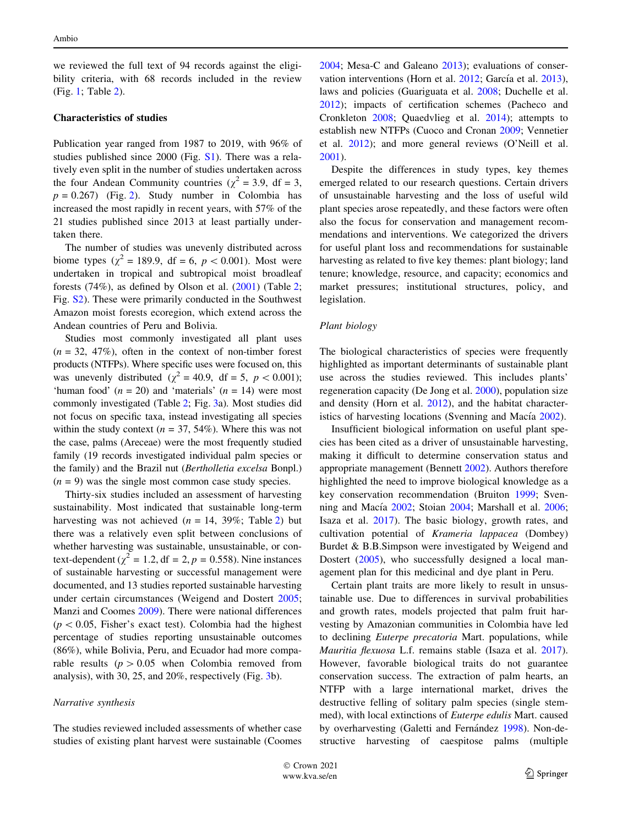we reviewed the full text of 94 records against the eligibility criteria, with 68 records included in the review (Fig. [1;](#page-2-0) Table [2](#page-5-0)).

# Characteristics of studies

Publication year ranged from 1987 to 2019, with 96% of studies published since 2000 (Fig. [S1\)](https://doi.org/10.1007/s13280-021-01529-7). There was a relatively even split in the number of studies undertaken across the four Andean Community countries ( $\chi^2 = 3.9$ , df = 3,  $p = 0.267$ ) (Fig. [2\)](#page-7-0). Study number in Colombia has increased the most rapidly in recent years, with 57% of the 21 studies published since 2013 at least partially undertaken there.

The number of studies was unevenly distributed across biome types ( $\chi^2 = 189.9$ , df = 6,  $p < 0.001$ ). Most were undertaken in tropical and subtropical moist broadleaf forests  $(74\%)$ , as defined by Olson et al.  $(2001)$  $(2001)$  (Table [2](#page-5-0); Fig. [S2](https://doi.org/10.1007/s13280-021-01529-7)). These were primarily conducted in the Southwest Amazon moist forests ecoregion, which extend across the Andean countries of Peru and Bolivia.

Studies most commonly investigated all plant uses  $(n = 32, 47\%)$ , often in the context of non-timber forest products (NTFPs). Where specific uses were focused on, this was unevenly distributed ( $\chi^2 = 40.9$ , df = 5, p < 0.001); 'human food'  $(n = 20)$  and 'materials'  $(n = 14)$  were most commonly investigated (Table [2](#page-5-0); Fig. [3](#page-8-0)a). Most studies did not focus on specific taxa, instead investigating all species within the study context ( $n = 37, 54\%$ ). Where this was not the case, palms (Areceae) were the most frequently studied family (19 records investigated individual palm species or the family) and the Brazil nut (Bertholletia excelsa Bonpl.)  $(n = 9)$  was the single most common case study species.

Thirty-six studies included an assessment of harvesting sustainability. Most indicated that sustainable long-term harvesting was not achieved  $(n = 14, 39\%;$  Table [2](#page-5-0)) but there was a relatively even split between conclusions of whether harvesting was sustainable, unsustainable, or context-dependent ( $\chi^2 = 1.2$ , df = 2, p = 0.558). Nine instances of sustainable harvesting or successful management were documented, and 13 studies reported sustainable harvesting under certain circumstances (Weigend and Dostert [2005](#page-15-0); Manzi and Coomes [2009](#page-14-0)). There were national differences  $(p<0.05,$  Fisher's exact test). Colombia had the highest percentage of studies reporting unsustainable outcomes (86%), while Bolivia, Peru, and Ecuador had more comparable results ( $p > 0.05$  when Colombia removed from analysis), with 30, 25, and 20%, respectively (Fig. [3b](#page-8-0)).

## Narrative synthesis

The studies reviewed included assessments of whether case studies of existing plant harvest were sustainable (Coomes [2004](#page-13-0); Mesa-C and Galeano [2013](#page-14-0)); evaluations of conser-vation interventions (Horn et al. [2012;](#page-14-0) García et al. [2013](#page-14-0)), laws and policies (Guariguata et al. [2008](#page-14-0); Duchelle et al. [2012](#page-13-0)); impacts of certification schemes (Pacheco and Cronkleton [2008;](#page-15-0) Quaedvlieg et al. [2014](#page-15-0)); attempts to establish new NTFPs (Cuoco and Cronan [2009;](#page-13-0) Vennetier et al. [2012\)](#page-15-0); and more general reviews (O'Neill et al. [2001](#page-14-0)).

Despite the differences in study types, key themes emerged related to our research questions. Certain drivers of unsustainable harvesting and the loss of useful wild plant species arose repeatedly, and these factors were often also the focus for conservation and management recommendations and interventions. We categorized the drivers for useful plant loss and recommendations for sustainable harvesting as related to five key themes: plant biology; land tenure; knowledge, resource, and capacity; economics and market pressures; institutional structures, policy, and legislation.

#### Plant biology

The biological characteristics of species were frequently highlighted as important determinants of sustainable plant use across the studies reviewed. This includes plants' regeneration capacity (De Jong et al. [2000](#page-13-0)), population size and density (Horn et al. [2012](#page-14-0)), and the habitat character-istics of harvesting locations (Svenning and Macía [2002\)](#page-15-0).

Insufficient biological information on useful plant species has been cited as a driver of unsustainable harvesting, making it difficult to determine conservation status and appropriate management (Bennett [2002](#page-13-0)). Authors therefore highlighted the need to improve biological knowledge as a key conservation recommendation (Bruiton [1999](#page-13-0); Sven-ning and Macía [2002;](#page-15-0) Stoian [2004;](#page-15-0) Marshall et al. [2006](#page-14-0); Isaza et al. [2017\)](#page-14-0). The basic biology, growth rates, and cultivation potential of Krameria lappacea (Dombey) Burdet & B.B.Simpson were investigated by Weigend and Dostert ([2005\)](#page-15-0), who successfully designed a local management plan for this medicinal and dye plant in Peru.

Certain plant traits are more likely to result in unsustainable use. Due to differences in survival probabilities and growth rates, models projected that palm fruit harvesting by Amazonian communities in Colombia have led to declining Euterpe precatoria Mart. populations, while Mauritia flexuosa L.f. remains stable (Isaza et al. [2017](#page-14-0)). However, favorable biological traits do not guarantee conservation success. The extraction of palm hearts, an NTFP with a large international market, drives the destructive felling of solitary palm species (single stemmed), with local extinctions of Euterpe edulis Mart. caused by overharvesting (Galetti and Fernández [1998](#page-14-0)). Non-destructive harvesting of caespitose palms (multiple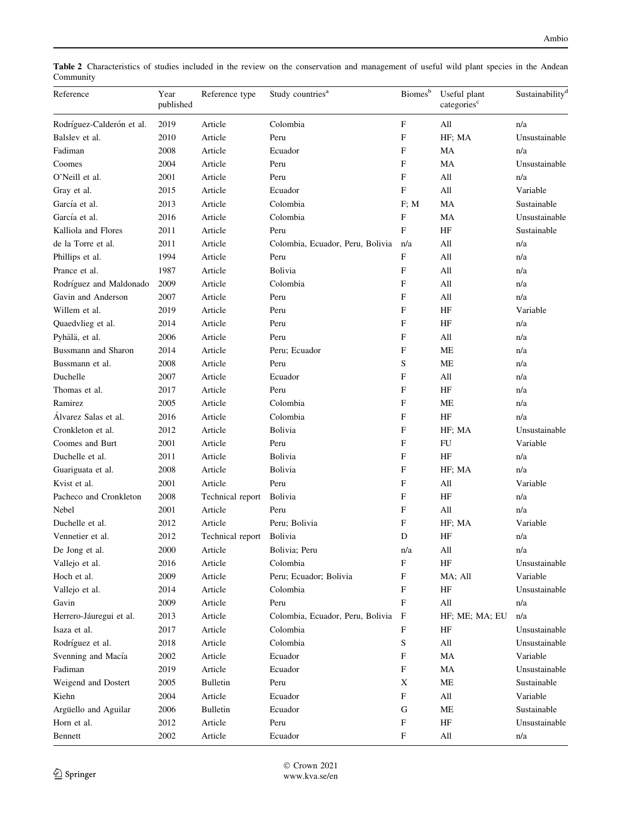<span id="page-5-0"></span>Table 2 Characteristics of studies included in the review on the conservation and management of useful wild plant species in the Andean Community

| Reference                 | Year<br>published | Reference type   | Study countries <sup>a</sup>     | Biomes <sup>b</sup>       | Useful plant<br>categories <sup>c</sup> | Sustainability <sup>d</sup> |
|---------------------------|-------------------|------------------|----------------------------------|---------------------------|-----------------------------------------|-----------------------------|
| Rodríguez-Calderón et al. | 2019              | Article          | Colombia                         | F                         | All                                     | n/a                         |
| Balslev et al.            | 2010              | Article          | Peru                             | F                         | HF; MA                                  | Unsustainable               |
| Fadiman                   | 2008              | Article          | Ecuador                          | F                         | MA                                      | n/a                         |
| Coomes                    | 2004              | Article          | Peru                             | $\mathbf F$               | MA                                      | Unsustainable               |
| O'Neill et al.            | 2001              | Article          | Peru                             | F                         | All                                     | n/a                         |
| Gray et al.               | 2015              | Article          | Ecuador                          | $\mathbf F$               | All                                     | Variable                    |
| García et al.             | 2013              | Article          | Colombia                         | $F$ ; M                   | MA                                      | Sustainable                 |
| García et al.             | 2016              | Article          | Colombia                         | $\mathbf F$               | MA                                      | Unsustainable               |
| Kalliola and Flores       | 2011              | Article          | Peru                             | $\mathbf F$               | HF                                      | Sustainable                 |
| de la Torre et al.        | 2011              | Article          | Colombia, Ecuador, Peru, Bolivia | n/a                       | All                                     | n/a                         |
| Phillips et al.           | 1994              | Article          | Peru                             | $\mathbf F$               | All                                     | n/a                         |
| Prance et al.             | 1987              | Article          | Bolivia                          | $\mathbf{F}$              | All                                     | n/a                         |
| Rodríguez and Maldonado   | 2009              | Article          | Colombia                         | F                         | All                                     | n/a                         |
| Gavin and Anderson        | 2007              | Article          | Peru                             | F                         | All                                     | n/a                         |
| Willem et al.             | 2019              | Article          | Peru                             | F                         | HF                                      | Variable                    |
| Quaedvlieg et al.         | 2014              | Article          | Peru                             | $\mathbf F$               | HF                                      | n/a                         |
| Pyhälä, et al.            | 2006              | Article          | Peru                             | $\mathbf F$               | All                                     | n/a                         |
| Bussmann and Sharon       | 2014              | Article          | Peru; Ecuador                    | F                         | <b>ME</b>                               | n/a                         |
| Bussmann et al.           | 2008              | Article          | Peru                             | S                         | ME                                      | n/a                         |
| Duchelle                  | 2007              | Article          | Ecuador                          | $\mathbf F$               | All                                     | n/a                         |
| Thomas et al.             | 2017              | Article          | Peru                             | F                         | HF                                      | n/a                         |
| Ramirez                   | 2005              | Article          | Colombia                         | F                         | ME                                      | n/a                         |
| Álvarez Salas et al.      | 2016              | Article          | Colombia                         | F                         | HF                                      | n/a                         |
| Cronkleton et al.         | 2012              | Article          | Bolivia                          | F                         | HF; MA                                  | Unsustainable               |
| Coomes and Burt           | 2001              | Article          | Peru                             | F                         | FU                                      | Variable                    |
| Duchelle et al.           | 2011              | Article          | Bolivia                          | $\mathbf F$               | HF                                      | n/a                         |
| Guariguata et al.         | 2008              | Article          | Bolivia                          | F                         | HF; MA                                  | n/a                         |
| Kvist et al.              | 2001              | Article          | Peru                             | $\mathbf F$               | All                                     | Variable                    |
| Pacheco and Cronkleton    | 2008              | Technical report | Bolivia                          | $\mathbf{F}$              | HF                                      | n/a                         |
| Nebel                     | 2001              | Article          | Peru                             | F                         | All                                     | n/a                         |
| Duchelle et al.           | 2012              | Article          | Peru; Bolivia                    | F                         | HF; MA                                  | Variable                    |
| Vennetier et al.          | 2012              | Technical report | Bolivia                          | D                         | HF                                      | n/a                         |
| De Jong et al.            | 2000              | Article          | Bolivia; Peru                    | n/a                       | All                                     | n/a                         |
| Vallejo et al.            | 2016              | Article          | Colombia                         | $\boldsymbol{\mathrm{F}}$ | HF                                      | Unsustainable               |
| Hoch et al.               | 2009              | Article          | Peru; Ecuador; Bolivia           | $_{\rm F}$                | MA; All                                 | Variable                    |
| Vallejo et al.            | 2014              | Article          | Colombia                         | $_{\rm F}$                | HF                                      | Unsustainable               |
| Gavin                     | 2009              | Article          | Peru                             | $\mathbf F$               | All                                     | n/a                         |
| Herrero-Jáuregui et al.   | 2013              | Article          | Colombia, Ecuador, Peru, Bolivia | $\mathbf F$               | HF; ME; MA; EU                          | n/a                         |
| Isaza et al.              | 2017              | Article          | Colombia                         | $\boldsymbol{\mathrm{F}}$ | HF                                      | Unsustainable               |
| Rodríguez et al.          | 2018              | Article          | Colombia                         | S                         | $\mathbf{All}$                          | Unsustainable               |
| Svenning and Macía        | 2002              | Article          | Ecuador                          | $_{\rm F}$                | $\rm MA$                                | Variable                    |
| Fadiman                   | 2019              | Article          | Ecuador                          | $\boldsymbol{\mathrm{F}}$ | $\rm MA$                                | Unsustainable               |
| Weigend and Dostert       | 2005              | <b>Bulletin</b>  | Peru                             | X                         | $\operatorname{\mathsf{ME}}$            | Sustainable                 |
| Kiehn                     | 2004              | Article          | Ecuador                          | F                         | $\mathop{\rm All}\nolimits$             | Variable                    |
| Argüello and Aguilar      | 2006              | <b>Bulletin</b>  | Ecuador                          | G                         | ME                                      | Sustainable                 |
| Horn et al.               | 2012              | Article          | Peru                             | $\boldsymbol{\mathrm{F}}$ | HF                                      | Unsustainable               |
| Bennett                   | 2002              | Article          | Ecuador                          | $\boldsymbol{\mathrm{F}}$ | All                                     | n/a                         |
|                           |                   |                  |                                  |                           |                                         |                             |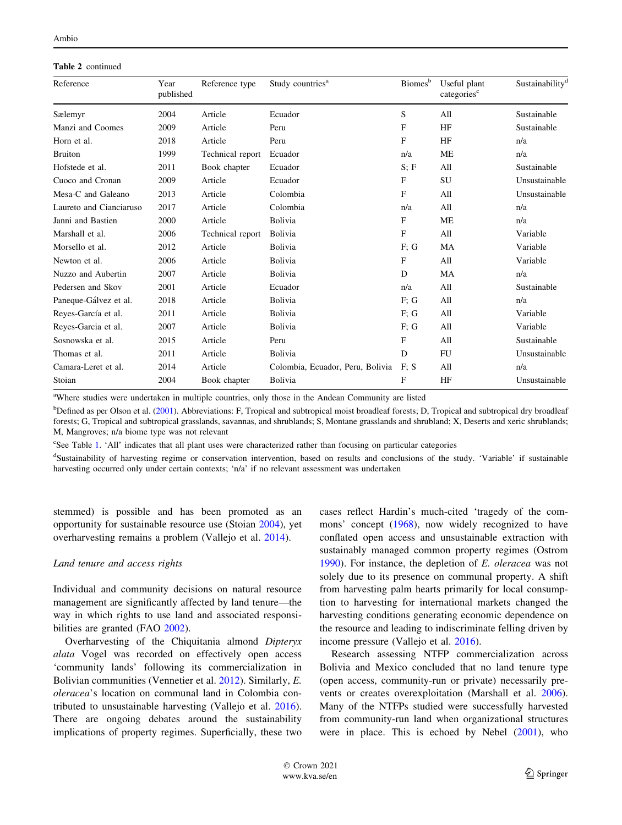#### Table 2 continued

| Reference               | Year<br>published | Reference type   | Study countries <sup>a</sup>     | Biomes <sup>b</sup> | Useful plant<br>categories <sup>c</sup> | Sustainability <sup>d</sup> |
|-------------------------|-------------------|------------------|----------------------------------|---------------------|-----------------------------------------|-----------------------------|
| Sælemyr                 | 2004              | Article          | Ecuador                          | S                   | All                                     | Sustainable                 |
| Manzi and Coomes        | 2009              | Article          | Peru                             | $\mathbf{F}$        | HF                                      | Sustainable                 |
| Horn et al.             | 2018              | Article          | Peru                             | $\mathbf{F}$        | HF                                      | n/a                         |
| <b>Bruiton</b>          | 1999              | Technical report | Ecuador                          | n/a                 | <b>ME</b>                               | n/a                         |
| Hofstede et al.         | 2011              | Book chapter     | Ecuador                          | S: F                | All                                     | Sustainable                 |
| Cuoco and Cronan        | 2009              | Article          | Ecuador                          | F                   | <b>SU</b>                               | Unsustainable               |
| Mesa-C and Galeano      | 2013              | Article          | Colombia                         | $\mathbf{F}$        | All                                     | Unsustainable               |
| Laureto and Cianciaruso | 2017              | Article          | Colombia                         | n/a                 | All                                     | n/a                         |
| Janni and Bastien       | 2000              | Article          | Bolivia                          | $\mathbf F$         | <b>ME</b>                               | n/a                         |
| Marshall et al.         | 2006              | Technical report | Bolivia                          | F                   | All                                     | Variable                    |
| Morsello et al.         | 2012              | Article          | Bolivia                          | F; G                | <b>MA</b>                               | Variable                    |
| Newton et al.           | 2006              | Article          | <b>Bolivia</b>                   | $\mathbf{F}$        | All                                     | Variable                    |
| Nuzzo and Aubertin      | 2007              | Article          | Bolivia                          | D                   | MA                                      | n/a                         |
| Pedersen and Skov       | 2001              | Article          | Ecuador                          | n/a                 | All                                     | Sustainable                 |
| Paneque-Gálvez et al.   | 2018              | Article          | Bolivia                          | F; G                | All                                     | n/a                         |
| Reyes-García et al.     | 2011              | Article          | <b>Bolivia</b>                   | F; G                | All                                     | Variable                    |
| Reyes-Garcia et al.     | 2007              | Article          | Bolivia                          | F; G                | All                                     | Variable                    |
| Sosnowska et al.        | 2015              | Article          | Peru                             | $\mathbf{F}$        | All                                     | Sustainable                 |
| Thomas et al.           | 2011              | Article          | <b>Bolivia</b>                   | D                   | <b>FU</b>                               | Unsustainable               |
| Camara-Leret et al.     | 2014              | Article          | Colombia, Ecuador, Peru, Bolivia | F: S                | A11                                     | n/a                         |
| Stoian                  | 2004              | Book chapter     | Bolivia                          | $\mathbf F$         | HF                                      | Unsustainable               |

<sup>a</sup>Where studies were undertaken in multiple countries, only those in the Andean Community are listed

<sup>b</sup>Defined as per Olson et al. [\(2001](#page-14-0)). Abbreviations: F, Tropical and subtropical moist broadleaf forests; D, Tropical and subtropical dry broadleaf forests; G, Tropical and subtropical grasslands, savannas, and shrublands; S, Montane grasslands and shrubland; X, Deserts and xeric shrublands; M, Mangroves; n/a biome type was not relevant

<sup>c</sup>See Table [1](#page-3-0). 'All' indicates that all plant uses were characterized rather than focusing on particular categories

d Sustainability of harvesting regime or conservation intervention, based on results and conclusions of the study. 'Variable' if sustainable harvesting occurred only under certain contexts; 'n/a' if no relevant assessment was undertaken

stemmed) is possible and has been promoted as an opportunity for sustainable resource use (Stoian [2004](#page-15-0)), yet overharvesting remains a problem (Vallejo et al. [2014](#page-15-0)).

# Land tenure and access rights

Individual and community decisions on natural resource management are significantly affected by land tenure—the way in which rights to use land and associated responsibilities are granted (FAO [2002](#page-13-0)).

Overharvesting of the Chiquitania almond Dipteryx alata Vogel was recorded on effectively open access 'community lands' following its commercialization in Bolivian communities (Vennetier et al. [2012\)](#page-15-0). Similarly, E. oleracea's location on communal land in Colombia contributed to unsustainable harvesting (Vallejo et al. [2016](#page-15-0)). There are ongoing debates around the sustainability implications of property regimes. Superficially, these two cases reflect Hardin's much-cited 'tragedy of the commons' concept [\(1968](#page-14-0)), now widely recognized to have conflated open access and unsustainable extraction with sustainably managed common property regimes (Ostrom [1990](#page-15-0)). For instance, the depletion of E. oleracea was not solely due to its presence on communal property. A shift from harvesting palm hearts primarily for local consumption to harvesting for international markets changed the harvesting conditions generating economic dependence on the resource and leading to indiscriminate felling driven by income pressure (Vallejo et al. [2016](#page-15-0)).

Research assessing NTFP commercialization across Bolivia and Mexico concluded that no land tenure type (open access, community-run or private) necessarily prevents or creates overexploitation (Marshall et al. [2006](#page-14-0)). Many of the NTFPs studied were successfully harvested from community-run land when organizational structures were in place. This is echoed by Nebel [\(2001](#page-14-0)), who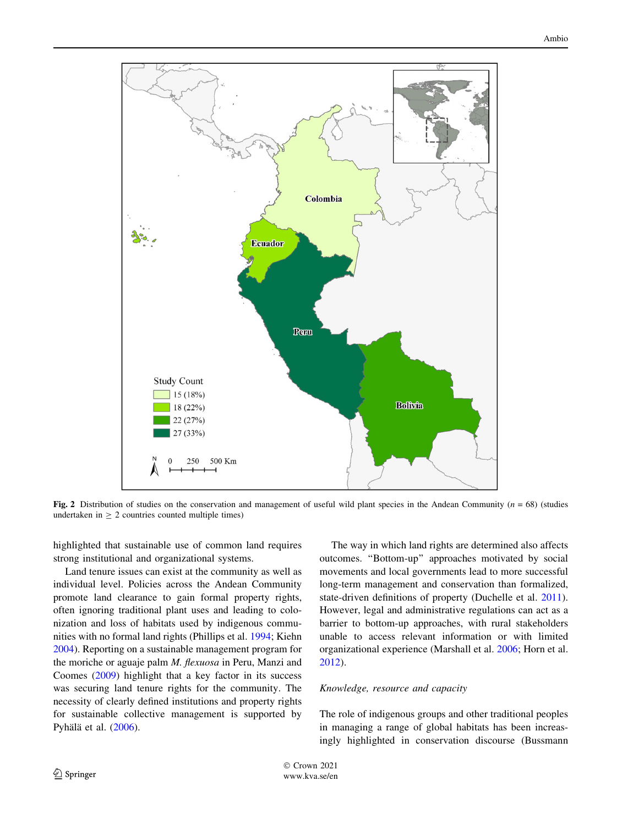<span id="page-7-0"></span>

Fig. 2 Distribution of studies on the conservation and management of useful wild plant species in the Andean Community ( $n = 68$ ) (studies undertaken in  $\geq 2$  countries counted multiple times)

highlighted that sustainable use of common land requires strong institutional and organizational systems.

Land tenure issues can exist at the community as well as individual level. Policies across the Andean Community promote land clearance to gain formal property rights, often ignoring traditional plant uses and leading to colonization and loss of habitats used by indigenous communities with no formal land rights (Phillips et al. [1994;](#page-15-0) Kiehn [2004\)](#page-14-0). Reporting on a sustainable management program for the moriche or aguaje palm M. flexuosa in Peru, Manzi and Coomes [\(2009](#page-14-0)) highlight that a key factor in its success was securing land tenure rights for the community. The necessity of clearly defined institutions and property rights for sustainable collective management is supported by Pyhälä et al. ([2006\)](#page-15-0).

The way in which land rights are determined also affects outcomes. ''Bottom-up'' approaches motivated by social movements and local governments lead to more successful long-term management and conservation than formalized, state-driven definitions of property (Duchelle et al. [2011](#page-13-0)). However, legal and administrative regulations can act as a barrier to bottom-up approaches, with rural stakeholders unable to access relevant information or with limited organizational experience (Marshall et al. [2006](#page-14-0); Horn et al. [2012](#page-14-0)).

# Knowledge, resource and capacity

The role of indigenous groups and other traditional peoples in managing a range of global habitats has been increasingly highlighted in conservation discourse (Bussmann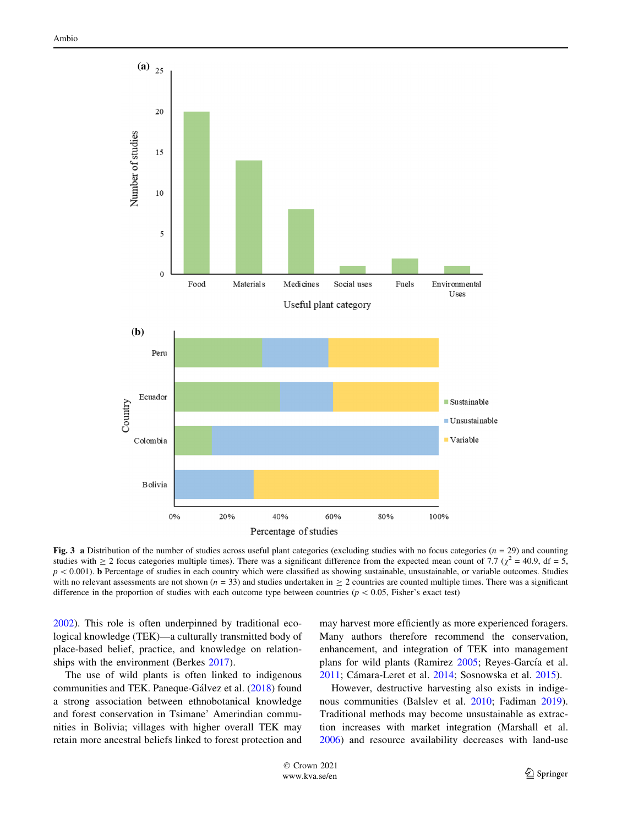<span id="page-8-0"></span>

Fig. 3 a Distribution of the number of studies across useful plant categories (excluding studies with no focus categories ( $n = 29$ ) and counting studies with  $\geq 2$  focus categories multiple times). There was a significant difference from the expected mean count of 7.7 ( $\chi^2$  = 40.9, df = 5,  $p \lt 0.001$ ). **b** Percentage of studies in each country which were classified as showing sustainable, unsustainable, or variable outcomes. Studies with no relevant assessments are not shown ( $n = 33$ ) and studies undertaken in  $\geq 2$  countries are counted multiple times. There was a significant difference in the proportion of studies with each outcome type between countries ( $p < 0.05$ , Fisher's exact test)

[2002\)](#page-13-0). This role is often underpinned by traditional ecological knowledge (TEK)—a culturally transmitted body of place-based belief, practice, and knowledge on relationships with the environment (Berkes [2017\)](#page-13-0).

The use of wild plants is often linked to indigenous communities and TEK. Paneque-Gálvez et al. [\(2018](#page-15-0)) found a strong association between ethnobotanical knowledge and forest conservation in Tsimane' Amerindian communities in Bolivia; villages with higher overall TEK may retain more ancestral beliefs linked to forest protection and may harvest more efficiently as more experienced foragers. Many authors therefore recommend the conservation, enhancement, and integration of TEK into management plans for wild plants (Ramirez [2005;](#page-15-0) Reyes-García et al. [2011](#page-15-0); Cámara-Leret et al. [2014;](#page-13-0) Sosnowska et al. [2015\)](#page-15-0).

However, destructive harvesting also exists in indigenous communities (Balslev et al. [2010](#page-13-0); Fadiman [2019](#page-13-0)). Traditional methods may become unsustainable as extraction increases with market integration (Marshall et al. [2006](#page-14-0)) and resource availability decreases with land-use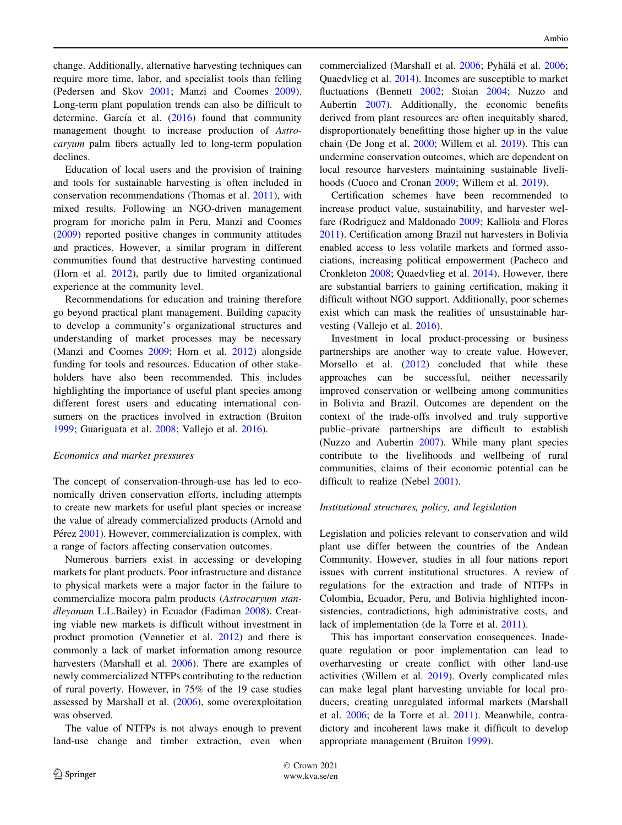change. Additionally, alternative harvesting techniques can require more time, labor, and specialist tools than felling (Pedersen and Skov [2001;](#page-15-0) Manzi and Coomes [2009](#page-14-0)). Long-term plant population trends can also be difficult to determine. García et al.  $(2016)$  $(2016)$  found that community management thought to increase production of Astrocaryum palm fibers actually led to long-term population declines.

Education of local users and the provision of training and tools for sustainable harvesting is often included in conservation recommendations (Thomas et al. [2011](#page-15-0)), with mixed results. Following an NGO-driven management program for moriche palm in Peru, Manzi and Coomes [\(2009](#page-14-0)) reported positive changes in community attitudes and practices. However, a similar program in different communities found that destructive harvesting continued (Horn et al. [2012\)](#page-14-0), partly due to limited organizational experience at the community level.

Recommendations for education and training therefore go beyond practical plant management. Building capacity to develop a community's organizational structures and understanding of market processes may be necessary (Manzi and Coomes [2009](#page-14-0); Horn et al. [2012](#page-14-0)) alongside funding for tools and resources. Education of other stakeholders have also been recommended. This includes highlighting the importance of useful plant species among different forest users and educating international consumers on the practices involved in extraction (Bruiton [1999;](#page-13-0) Guariguata et al. [2008;](#page-14-0) Vallejo et al. [2016](#page-15-0)).

#### Economics and market pressures

The concept of conservation-through-use has led to economically driven conservation efforts, including attempts to create new markets for useful plant species or increase the value of already commercialized products (Arnold and Pérez [2001\)](#page-13-0). However, commercialization is complex, with a range of factors affecting conservation outcomes.

Numerous barriers exist in accessing or developing markets for plant products. Poor infrastructure and distance to physical markets were a major factor in the failure to commercialize mocora palm products (Astrocaryum standleyanum L.L.Bailey) in Ecuador (Fadiman [2008\)](#page-13-0). Creating viable new markets is difficult without investment in product promotion (Vennetier et al. [2012](#page-15-0)) and there is commonly a lack of market information among resource harvesters (Marshall et al. [2006](#page-14-0)). There are examples of newly commercialized NTFPs contributing to the reduction of rural poverty. However, in 75% of the 19 case studies assessed by Marshall et al. [\(2006](#page-14-0)), some overexploitation was observed.

The value of NTFPs is not always enough to prevent land-use change and timber extraction, even when commercialized (Marshall et al. [2006](#page-15-0); Pyhälä et al. 2006; Quaedvlieg et al. [2014\)](#page-15-0). Incomes are susceptible to market fluctuations (Bennett [2002](#page-13-0); Stoian [2004;](#page-15-0) Nuzzo and Aubertin [2007\)](#page-14-0). Additionally, the economic benefits derived from plant resources are often inequitably shared, disproportionately benefitting those higher up in the value chain (De Jong et al. [2000;](#page-13-0) Willem et al. [2019\)](#page-15-0). This can undermine conservation outcomes, which are dependent on local resource harvesters maintaining sustainable livelihoods (Cuoco and Cronan [2009](#page-13-0); Willem et al. [2019\)](#page-15-0).

Certification schemes have been recommended to increase product value, sustainability, and harvester welfare (Rodriguez and Maldonado [2009;](#page-15-0) Kalliola and Flores [2011](#page-14-0)). Certification among Brazil nut harvesters in Bolivia enabled access to less volatile markets and formed associations, increasing political empowerment (Pacheco and Cronkleton [2008](#page-15-0); Quaedvlieg et al. [2014\)](#page-15-0). However, there are substantial barriers to gaining certification, making it difficult without NGO support. Additionally, poor schemes exist which can mask the realities of unsustainable harvesting (Vallejo et al. [2016](#page-15-0)).

Investment in local product-processing or business partnerships are another way to create value. However, Morsello et al. ([2012\)](#page-14-0) concluded that while these approaches can be successful, neither necessarily improved conservation or wellbeing among communities in Bolivia and Brazil. Outcomes are dependent on the context of the trade-offs involved and truly supportive public–private partnerships are difficult to establish (Nuzzo and Aubertin [2007](#page-14-0)). While many plant species contribute to the livelihoods and wellbeing of rural communities, claims of their economic potential can be difficult to realize (Nebel [2001\)](#page-14-0).

#### Institutional structures, policy, and legislation

Legislation and policies relevant to conservation and wild plant use differ between the countries of the Andean Community. However, studies in all four nations report issues with current institutional structures. A review of regulations for the extraction and trade of NTFPs in Colombia, Ecuador, Peru, and Bolivia highlighted inconsistencies, contradictions, high administrative costs, and lack of implementation (de la Torre et al. [2011](#page-13-0)).

This has important conservation consequences. Inadequate regulation or poor implementation can lead to overharvesting or create conflict with other land-use activities (Willem et al. [2019\)](#page-15-0). Overly complicated rules can make legal plant harvesting unviable for local producers, creating unregulated informal markets (Marshall et al. [2006](#page-14-0); de la Torre et al. [2011](#page-13-0)). Meanwhile, contradictory and incoherent laws make it difficult to develop appropriate management (Bruiton [1999\)](#page-13-0).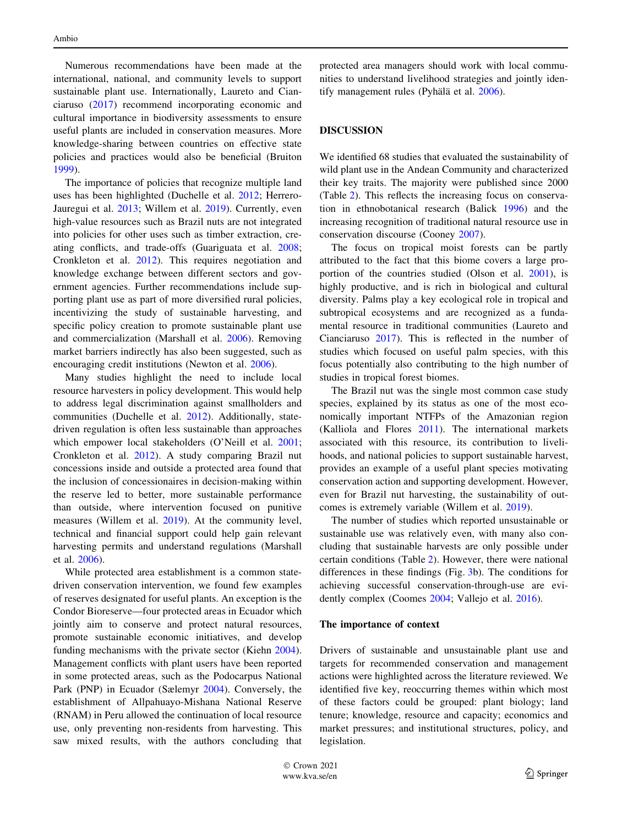Numerous recommendations have been made at the international, national, and community levels to support sustainable plant use. Internationally, Laureto and Cianciaruso ([2017\)](#page-14-0) recommend incorporating economic and cultural importance in biodiversity assessments to ensure useful plants are included in conservation measures. More knowledge-sharing between countries on effective state policies and practices would also be beneficial (Bruiton [1999\)](#page-13-0).

The importance of policies that recognize multiple land uses has been highlighted (Duchelle et al. [2012](#page-13-0); Herrero-Jauregui et al. [2013](#page-14-0); Willem et al. [2019\)](#page-15-0). Currently, even high-value resources such as Brazil nuts are not integrated into policies for other uses such as timber extraction, creating conflicts, and trade-offs (Guariguata et al. [2008](#page-14-0); Cronkleton et al. [2012](#page-13-0)). This requires negotiation and knowledge exchange between different sectors and government agencies. Further recommendations include supporting plant use as part of more diversified rural policies, incentivizing the study of sustainable harvesting, and specific policy creation to promote sustainable plant use and commercialization (Marshall et al. [2006](#page-14-0)). Removing market barriers indirectly has also been suggested, such as encouraging credit institutions (Newton et al. [2006\)](#page-14-0).

Many studies highlight the need to include local resource harvesters in policy development. This would help to address legal discrimination against smallholders and communities (Duchelle et al. [2012\)](#page-13-0). Additionally, statedriven regulation is often less sustainable than approaches which empower local stakeholders (O'Neill et al. [2001](#page-14-0); Cronkleton et al. [2012\)](#page-13-0). A study comparing Brazil nut concessions inside and outside a protected area found that the inclusion of concessionaires in decision-making within the reserve led to better, more sustainable performance than outside, where intervention focused on punitive measures (Willem et al. [2019](#page-15-0)). At the community level, technical and financial support could help gain relevant harvesting permits and understand regulations (Marshall et al. [2006\)](#page-14-0).

While protected area establishment is a common statedriven conservation intervention, we found few examples of reserves designated for useful plants. An exception is the Condor Bioreserve—four protected areas in Ecuador which jointly aim to conserve and protect natural resources, promote sustainable economic initiatives, and develop funding mechanisms with the private sector (Kiehn [2004](#page-14-0)). Management conflicts with plant users have been reported in some protected areas, such as the Podocarpus National Park (PNP) in Ecuador (Sælemyr [2004\)](#page-15-0). Conversely, the establishment of Allpahuayo-Mishana National Reserve (RNAM) in Peru allowed the continuation of local resource use, only preventing non-residents from harvesting. This saw mixed results, with the authors concluding that protected area managers should work with local communities to understand livelihood strategies and jointly identify management rules (Pyhälä et al.  $2006$ ).

# DISCUSSION

We identified 68 studies that evaluated the sustainability of wild plant use in the Andean Community and characterized their key traits. The majority were published since 2000 (Table [2\)](#page-5-0). This reflects the increasing focus on conservation in ethnobotanical research (Balick [1996](#page-13-0)) and the increasing recognition of traditional natural resource use in conservation discourse (Cooney [2007](#page-13-0)).

The focus on tropical moist forests can be partly attributed to the fact that this biome covers a large proportion of the countries studied (Olson et al. [2001\)](#page-14-0), is highly productive, and is rich in biological and cultural diversity. Palms play a key ecological role in tropical and subtropical ecosystems and are recognized as a fundamental resource in traditional communities (Laureto and Cianciaruso [2017\)](#page-14-0). This is reflected in the number of studies which focused on useful palm species, with this focus potentially also contributing to the high number of studies in tropical forest biomes.

The Brazil nut was the single most common case study species, explained by its status as one of the most economically important NTFPs of the Amazonian region (Kalliola and Flores [2011\)](#page-14-0). The international markets associated with this resource, its contribution to livelihoods, and national policies to support sustainable harvest, provides an example of a useful plant species motivating conservation action and supporting development. However, even for Brazil nut harvesting, the sustainability of outcomes is extremely variable (Willem et al. [2019\)](#page-15-0).

The number of studies which reported unsustainable or sustainable use was relatively even, with many also concluding that sustainable harvests are only possible under certain conditions (Table [2](#page-5-0)). However, there were national differences in these findings (Fig. [3](#page-8-0)b). The conditions for achieving successful conservation-through-use are evidently complex (Coomes [2004;](#page-13-0) Vallejo et al. [2016](#page-15-0)).

## The importance of context

Drivers of sustainable and unsustainable plant use and targets for recommended conservation and management actions were highlighted across the literature reviewed. We identified five key, reoccurring themes within which most of these factors could be grouped: plant biology; land tenure; knowledge, resource and capacity; economics and market pressures; and institutional structures, policy, and legislation.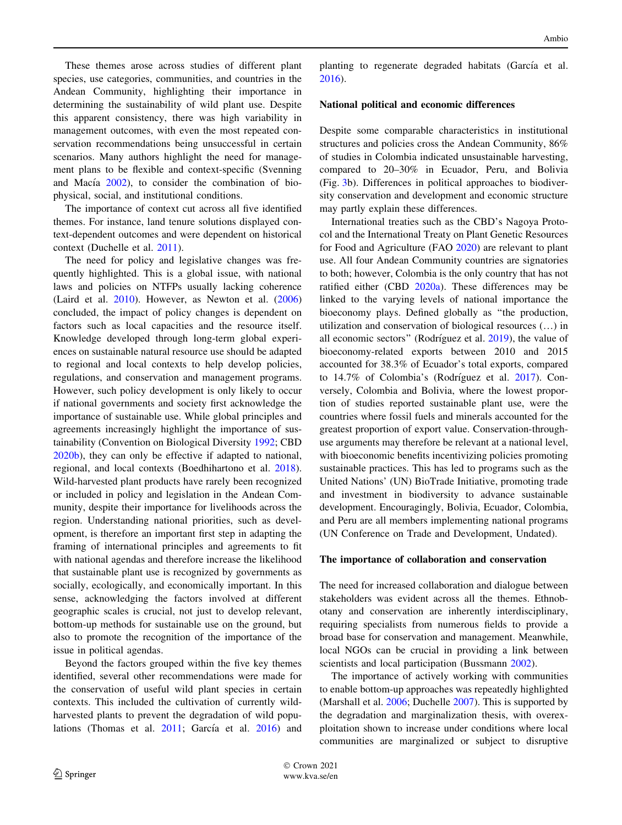These themes arose across studies of different plant species, use categories, communities, and countries in the Andean Community, highlighting their importance in determining the sustainability of wild plant use. Despite this apparent consistency, there was high variability in management outcomes, with even the most repeated conservation recommendations being unsuccessful in certain scenarios. Many authors highlight the need for management plans to be flexible and context-specific (Svenning and Macía  $2002$ ), to consider the combination of biophysical, social, and institutional conditions.

The importance of context cut across all five identified themes. For instance, land tenure solutions displayed context-dependent outcomes and were dependent on historical context (Duchelle et al. [2011](#page-13-0)).

The need for policy and legislative changes was frequently highlighted. This is a global issue, with national laws and policies on NTFPs usually lacking coherence (Laird et al. [2010\)](#page-14-0). However, as Newton et al. ([2006\)](#page-14-0) concluded, the impact of policy changes is dependent on factors such as local capacities and the resource itself. Knowledge developed through long-term global experiences on sustainable natural resource use should be adapted to regional and local contexts to help develop policies, regulations, and conservation and management programs. However, such policy development is only likely to occur if national governments and society first acknowledge the importance of sustainable use. While global principles and agreements increasingly highlight the importance of sustainability (Convention on Biological Diversity [1992](#page-13-0); CBD [2020b\)](#page-13-0), they can only be effective if adapted to national, regional, and local contexts (Boedhihartono et al. [2018](#page-13-0)). Wild-harvested plant products have rarely been recognized or included in policy and legislation in the Andean Community, despite their importance for livelihoods across the region. Understanding national priorities, such as development, is therefore an important first step in adapting the framing of international principles and agreements to fit with national agendas and therefore increase the likelihood that sustainable plant use is recognized by governments as socially, ecologically, and economically important. In this sense, acknowledging the factors involved at different geographic scales is crucial, not just to develop relevant, bottom-up methods for sustainable use on the ground, but also to promote the recognition of the importance of the issue in political agendas.

Beyond the factors grouped within the five key themes identified, several other recommendations were made for the conservation of useful wild plant species in certain contexts. This included the cultivation of currently wildharvested plants to prevent the degradation of wild popu-lations (Thomas et al. [2011;](#page-15-0) García et al. [2016](#page-14-0)) and planting to regenerate degraded habitats (García et al. [2016](#page-14-0)).

#### National political and economic differences

Despite some comparable characteristics in institutional structures and policies cross the Andean Community, 86% of studies in Colombia indicated unsustainable harvesting, compared to 20–30% in Ecuador, Peru, and Bolivia (Fig. [3b](#page-8-0)). Differences in political approaches to biodiversity conservation and development and economic structure may partly explain these differences.

International treaties such as the CBD's Nagoya Protocol and the International Treaty on Plant Genetic Resources for Food and Agriculture (FAO [2020\)](#page-14-0) are relevant to plant use. All four Andean Community countries are signatories to both; however, Colombia is the only country that has not ratified either (CBD [2020a\)](#page-13-0). These differences may be linked to the varying levels of national importance the bioeconomy plays. Defined globally as ''the production, utilization and conservation of biological resources (…) in all economic sectors" (Rodríguez et al. [2019\)](#page-15-0), the value of bioeconomy-related exports between 2010 and 2015 accounted for 38.3% of Ecuador's total exports, compared to 14.7% of Colombia's (Rodríguez et al. [2017](#page-15-0)). Conversely, Colombia and Bolivia, where the lowest proportion of studies reported sustainable plant use, were the countries where fossil fuels and minerals accounted for the greatest proportion of export value. Conservation-throughuse arguments may therefore be relevant at a national level, with bioeconomic benefits incentivizing policies promoting sustainable practices. This has led to programs such as the United Nations' (UN) BioTrade Initiative, promoting trade and investment in biodiversity to advance sustainable development. Encouragingly, Bolivia, Ecuador, Colombia, and Peru are all members implementing national programs (UN Conference on Trade and Development, Undated).

#### The importance of collaboration and conservation

The need for increased collaboration and dialogue between stakeholders was evident across all the themes. Ethnobotany and conservation are inherently interdisciplinary, requiring specialists from numerous fields to provide a broad base for conservation and management. Meanwhile, local NGOs can be crucial in providing a link between scientists and local participation (Bussmann [2002](#page-13-0)).

The importance of actively working with communities to enable bottom-up approaches was repeatedly highlighted (Marshall et al. [2006;](#page-14-0) Duchelle [2007](#page-13-0)). This is supported by the degradation and marginalization thesis, with overexploitation shown to increase under conditions where local communities are marginalized or subject to disruptive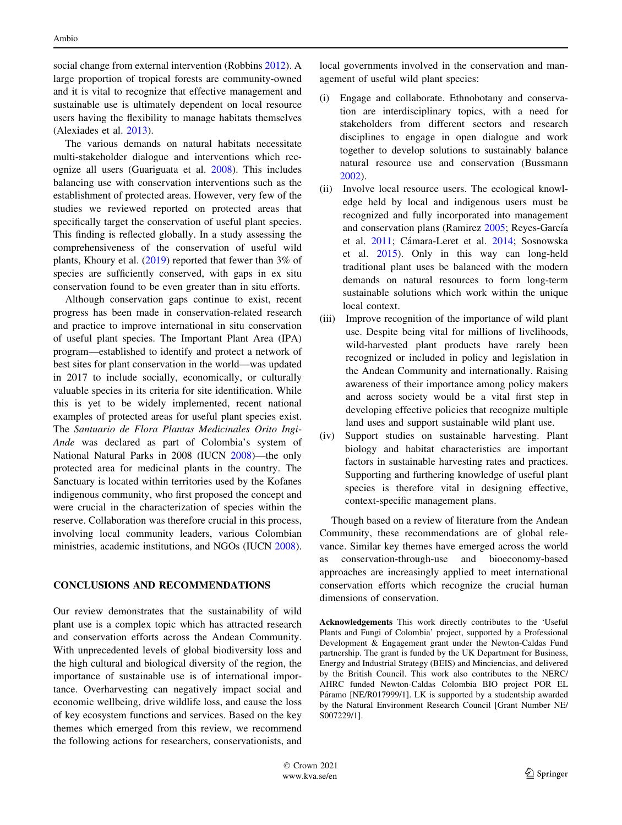social change from external intervention (Robbins [2012\)](#page-15-0). A large proportion of tropical forests are community-owned and it is vital to recognize that effective management and sustainable use is ultimately dependent on local resource users having the flexibility to manage habitats themselves (Alexiades et al. [2013](#page-13-0)).

The various demands on natural habitats necessitate multi-stakeholder dialogue and interventions which recognize all users (Guariguata et al. [2008](#page-14-0)). This includes balancing use with conservation interventions such as the establishment of protected areas. However, very few of the studies we reviewed reported on protected areas that specifically target the conservation of useful plant species. This finding is reflected globally. In a study assessing the comprehensiveness of the conservation of useful wild plants, Khoury et al. [\(2019](#page-14-0)) reported that fewer than 3% of species are sufficiently conserved, with gaps in ex situ conservation found to be even greater than in situ efforts.

Although conservation gaps continue to exist, recent progress has been made in conservation-related research and practice to improve international in situ conservation of useful plant species. The Important Plant Area (IPA) program—established to identify and protect a network of best sites for plant conservation in the world—was updated in 2017 to include socially, economically, or culturally valuable species in its criteria for site identification. While this is yet to be widely implemented, recent national examples of protected areas for useful plant species exist. The Santuario de Flora Plantas Medicinales Orito Ingi-Ande was declared as part of Colombia's system of National Natural Parks in 2008 (IUCN [2008](#page-14-0))—the only protected area for medicinal plants in the country. The Sanctuary is located within territories used by the Kofanes indigenous community, who first proposed the concept and were crucial in the characterization of species within the reserve. Collaboration was therefore crucial in this process, involving local community leaders, various Colombian ministries, academic institutions, and NGOs (IUCN [2008](#page-14-0)).

## CONCLUSIONS AND RECOMMENDATIONS

Our review demonstrates that the sustainability of wild plant use is a complex topic which has attracted research and conservation efforts across the Andean Community. With unprecedented levels of global biodiversity loss and the high cultural and biological diversity of the region, the importance of sustainable use is of international importance. Overharvesting can negatively impact social and economic wellbeing, drive wildlife loss, and cause the loss of key ecosystem functions and services. Based on the key themes which emerged from this review, we recommend the following actions for researchers, conservationists, and local governments involved in the conservation and management of useful wild plant species:

- (i) Engage and collaborate. Ethnobotany and conservation are interdisciplinary topics, with a need for stakeholders from different sectors and research disciplines to engage in open dialogue and work together to develop solutions to sustainably balance natural resource use and conservation (Bussmann [2002\)](#page-13-0).
- (ii) Involve local resource users. The ecological knowledge held by local and indigenous users must be recognized and fully incorporated into management and conservation plans (Ramirez  $2005$ ; Reyes-García et al. [2011;](#page-15-0) Cámara-Leret et al. [2014;](#page-13-0) Sosnowska et al. [2015\)](#page-15-0). Only in this way can long-held traditional plant uses be balanced with the modern demands on natural resources to form long-term sustainable solutions which work within the unique local context.
- (iii) Improve recognition of the importance of wild plant use. Despite being vital for millions of livelihoods, wild-harvested plant products have rarely been recognized or included in policy and legislation in the Andean Community and internationally. Raising awareness of their importance among policy makers and across society would be a vital first step in developing effective policies that recognize multiple land uses and support sustainable wild plant use.
- (iv) Support studies on sustainable harvesting. Plant biology and habitat characteristics are important factors in sustainable harvesting rates and practices. Supporting and furthering knowledge of useful plant species is therefore vital in designing effective, context-specific management plans.

Though based on a review of literature from the Andean Community, these recommendations are of global relevance. Similar key themes have emerged across the world as conservation-through-use and bioeconomy-based approaches are increasingly applied to meet international conservation efforts which recognize the crucial human dimensions of conservation.

Acknowledgements This work directly contributes to the 'Useful Plants and Fungi of Colombia' project, supported by a Professional Development & Engagement grant under the Newton-Caldas Fund partnership. The grant is funded by the UK Department for Business, Energy and Industrial Strategy (BEIS) and Minciencias, and delivered by the British Council. This work also contributes to the NERC/ AHRC funded Newton-Caldas Colombia BIO project POR EL Páramo [NE/R017999/1]. LK is supported by a studentship awarded by the Natural Environment Research Council [Grant Number NE/ S007229/1].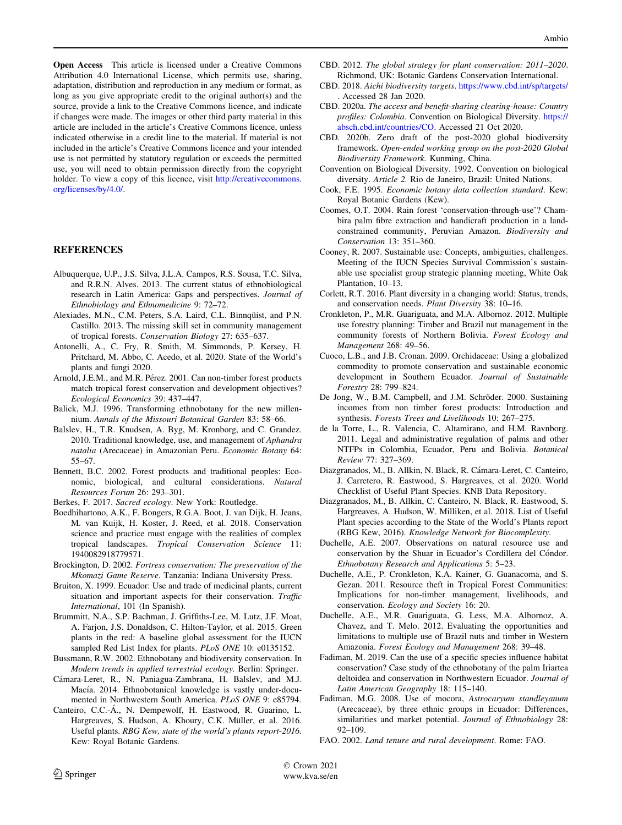<span id="page-13-0"></span>Open Access This article is licensed under a Creative Commons Attribution 4.0 International License, which permits use, sharing, adaptation, distribution and reproduction in any medium or format, as long as you give appropriate credit to the original author(s) and the source, provide a link to the Creative Commons licence, and indicate if changes were made. The images or other third party material in this article are included in the article's Creative Commons licence, unless indicated otherwise in a credit line to the material. If material is not included in the article's Creative Commons licence and your intended use is not permitted by statutory regulation or exceeds the permitted use, you will need to obtain permission directly from the copyright holder. To view a copy of this licence, visit [http://creativecommons.](http://creativecommons.org/licenses/by/4.0/) [org/licenses/by/4.0/.](http://creativecommons.org/licenses/by/4.0/)

#### **REFERENCES**

- Albuquerque, U.P., J.S. Silva, J.L.A. Campos, R.S. Sousa, T.C. Silva, and R.R.N. Alves. 2013. The current status of ethnobiological research in Latin America: Gaps and perspectives. Journal of Ethnobiology and Ethnomedicine 9: 72–72.
- Alexiades, M.N., C.M. Peters, S.A. Laird, C.L. Binnquist, and P.N. Castillo. 2013. The missing skill set in community management of tropical forests. Conservation Biology 27: 635–637.
- Antonelli, A., C. Fry, R. Smith, M. Simmonds, P. Kersey, H. Pritchard, M. Abbo, C. Acedo, et al. 2020. State of the World's plants and fungi 2020.
- Arnold, J.E.M., and M.R. Pérez. 2001. Can non-timber forest products match tropical forest conservation and development objectives? Ecological Economics 39: 437–447.
- Balick, M.J. 1996. Transforming ethnobotany for the new millennium. Annals of the Missouri Botanical Garden 83: 58–66.
- Balslev, H., T.R. Knudsen, A. Byg, M. Kronborg, and C. Grandez. 2010. Traditional knowledge, use, and management of Aphandra natalia (Arecaceae) in Amazonian Peru. Economic Botany 64: 55–67.
- Bennett, B.C. 2002. Forest products and traditional peoples: Economic, biological, and cultural considerations. Natural Resources Forum 26: 293–301.

Berkes, F. 2017. Sacred ecology. New York: Routledge.

- Boedhihartono, A.K., F. Bongers, R.G.A. Boot, J. van Dijk, H. Jeans, M. van Kuijk, H. Koster, J. Reed, et al. 2018. Conservation science and practice must engage with the realities of complex tropical landscapes. Tropical Conservation Science 11: 1940082918779571.
- Brockington, D. 2002. Fortress conservation: The preservation of the Mkomazi Game Reserve. Tanzania: Indiana University Press.
- Bruiton, X. 1999. Ecuador: Use and trade of medicinal plants, current situation and important aspects for their conservation. Traffic International, 101 (In Spanish).
- Brummitt, N.A., S.P. Bachman, J. Griffiths-Lee, M. Lutz, J.F. Moat, A. Farjon, J.S. Donaldson, C. Hilton-Taylor, et al. 2015. Green plants in the red: A baseline global assessment for the IUCN sampled Red List Index for plants. PLoS ONE 10: e0135152.
- Bussmann, R.W. 2002. Ethnobotany and biodiversity conservation. In Modern trends in applied terrestrial ecology. Berlin: Springer.
- Cámara-Leret, R., N. Paniagua-Zambrana, H. Balslev, and M.J. Macía. 2014. Ethnobotanical knowledge is vastly under-documented in Northwestern South America. PLoS ONE 9: e85794.
- Canteiro, C.C.-Á., N. Dempewolf, H. Eastwood, R. Guarino, L. Hargreaves, S. Hudson, A. Khoury, C.K. Müller, et al. 2016. Useful plants. RBG Kew, state of the world's plants report-2016. Kew: Royal Botanic Gardens.
- CBD. 2012. The global strategy for plant conservation: 2011–2020. Richmond, UK: Botanic Gardens Conservation International.
- CBD. 2018. Aichi biodiversity targets. <https://www.cbd.int/sp/targets/> . Accessed 28 Jan 2020.
- CBD. 2020a. The access and benefit-sharing clearing-house: Country profiles: Colombia. Convention on Biological Diversity. [https://](https://absch.cbd.int/countries/CO) [absch.cbd.int/countries/CO.](https://absch.cbd.int/countries/CO) Accessed 21 Oct 2020.
- CBD. 2020b. Zero draft of the post-2020 global biodiversity framework. Open-ended working group on the post-2020 Global Biodiversity Framework. Kunming, China.
- Convention on Biological Diversity. 1992. Convention on biological diversity. Article 2. Rio de Janeiro, Brazil: United Nations.
- Cook, F.E. 1995. Economic botany data collection standard. Kew: Royal Botanic Gardens (Kew).
- Coomes, O.T. 2004. Rain forest 'conservation-through-use'? Chambira palm fibre extraction and handicraft production in a landconstrained community, Peruvian Amazon. Biodiversity and Conservation 13: 351–360.
- Cooney, R. 2007. Sustainable use: Concepts, ambiguities, challenges. Meeting of the IUCN Species Survival Commission's sustainable use specialist group strategic planning meeting, White Oak Plantation, 10–13.
- Corlett, R.T. 2016. Plant diversity in a changing world: Status, trends, and conservation needs. Plant Diversity 38: 10–16.
- Cronkleton, P., M.R. Guariguata, and M.A. Albornoz. 2012. Multiple use forestry planning: Timber and Brazil nut management in the community forests of Northern Bolivia. Forest Ecology and Management 268: 49–56.
- Cuoco, L.B., and J.B. Cronan. 2009. Orchidaceae: Using a globalized commodity to promote conservation and sustainable economic development in Southern Ecuador. Journal of Sustainable Forestry 28: 799–824.
- De Jong, W., B.M. Campbell, and J.M. Schröder. 2000. Sustaining incomes from non timber forest products: Introduction and synthesis. Forests Trees and Livelihoods 10: 267–275.
- de la Torre, L., R. Valencia, C. Altamirano, and H.M. Ravnborg. 2011. Legal and administrative regulation of palms and other NTFPs in Colombia, Ecuador, Peru and Bolivia. Botanical Review 77: 327–369.
- Diazgranados, M., B. Allkin, N. Black, R. Cámara-Leret, C. Canteiro, J. Carretero, R. Eastwood, S. Hargreaves, et al. 2020. World Checklist of Useful Plant Species. KNB Data Repository.
- Diazgranados, M., B. Allkin, C. Canteiro, N. Black, R. Eastwood, S. Hargreaves, A. Hudson, W. Milliken, et al. 2018. List of Useful Plant species according to the State of the World's Plants report (RBG Kew, 2016). Knowledge Network for Biocomplexity.
- Duchelle, A.E. 2007. Observations on natural resource use and conservation by the Shuar in Ecuador's Cordillera del Cóndor. Ethnobotany Research and Applications 5: 5–23.
- Duchelle, A.E., P. Cronkleton, K.A. Kainer, G. Guanacoma, and S. Gezan. 2011. Resource theft in Tropical Forest Communities: Implications for non-timber management, livelihoods, and conservation. Ecology and Society 16: 20.
- Duchelle, A.E., M.R. Guariguata, G. Less, M.A. Albornoz, A. Chavez, and T. Melo. 2012. Evaluating the opportunities and limitations to multiple use of Brazil nuts and timber in Western Amazonia. Forest Ecology and Management 268: 39–48.
- Fadiman, M. 2019. Can the use of a specific species influence habitat conservation? Case study of the ethnobotany of the palm Iriartea deltoidea and conservation in Northwestern Ecuador. Journal of Latin American Geography 18: 115–140.
- Fadiman, M.G. 2008. Use of mocora, Astrocaryum standleyanum (Arecaceae), by three ethnic groups in Ecuador: Differences, similarities and market potential. Journal of Ethnobiology 28: 92–109.
- FAO. 2002. Land tenure and rural development. Rome: FAO.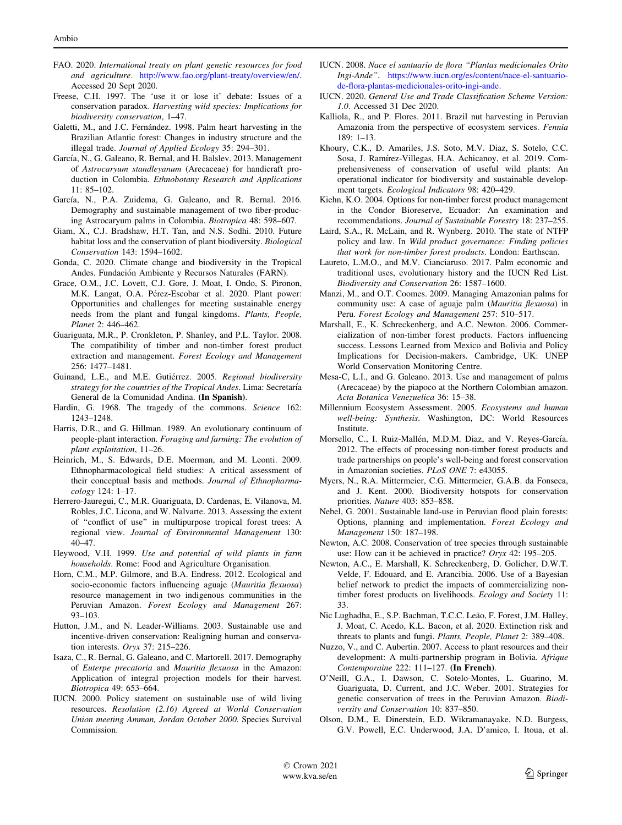- <span id="page-14-0"></span>FAO. 2020. International treaty on plant genetic resources for food and agriculture. <http://www.fao.org/plant-treaty/overview/en/>. Accessed 20 Sept 2020.
- Freese, C.H. 1997. The 'use it or lose it' debate: Issues of a conservation paradox. Harvesting wild species: Implications for biodiversity conservation, 1–47.
- Galetti, M., and J.C. Fernández. 1998. Palm heart harvesting in the Brazilian Atlantic forest: Changes in industry structure and the illegal trade. Journal of Applied Ecology 35: 294–301.
- García, N., G. Galeano, R. Bernal, and H. Balslev. 2013. Management of Astrocaryum standleyanum (Arecaceae) for handicraft production in Colombia. Ethnobotany Research and Applications 11: 85–102.
- García, N., P.A. Zuidema, G. Galeano, and R. Bernal. 2016. Demography and sustainable management of two fiber-producing Astrocaryum palms in Colombia. Biotropica 48: 598–607.
- Giam, X., C.J. Bradshaw, H.T. Tan, and N.S. Sodhi. 2010. Future habitat loss and the conservation of plant biodiversity. Biological Conservation 143: 1594–1602.
- Gonda, C. 2020. Climate change and biodiversity in the Tropical Andes. Fundación Ambiente y Recursos Naturales (FARN).
- Grace, O.M., J.C. Lovett, C.J. Gore, J. Moat, I. Ondo, S. Pironon, M.K. Langat, O.A. Pérez-Escobar et al. 2020. Plant power: Opportunities and challenges for meeting sustainable energy needs from the plant and fungal kingdoms. Plants, People, Planet 2: 446–462.
- Guariguata, M.R., P. Cronkleton, P. Shanley, and P.L. Taylor. 2008. The compatibility of timber and non-timber forest product extraction and management. Forest Ecology and Management 256: 1477–1481.
- Guinand, L.E., and M.E. Gutiérrez. 2005. Regional biodiversity strategy for the countries of the Tropical Andes. Lima: Secretaría General de la Comunidad Andina. (In Spanish).
- Hardin, G. 1968. The tragedy of the commons. Science 162: 1243–1248.
- Harris, D.R., and G. Hillman. 1989. An evolutionary continuum of people-plant interaction. Foraging and farming: The evolution of plant exploitation, 11–26.
- Heinrich, M., S. Edwards, D.E. Moerman, and M. Leonti. 2009. Ethnopharmacological field studies: A critical assessment of their conceptual basis and methods. Journal of Ethnopharmacology 124: 1–17.
- Herrero-Jauregui, C., M.R. Guariguata, D. Cardenas, E. Vilanova, M. Robles, J.C. Licona, and W. Nalvarte. 2013. Assessing the extent of ''conflict of use'' in multipurpose tropical forest trees: A regional view. Journal of Environmental Management 130: 40–47.
- Heywood, V.H. 1999. Use and potential of wild plants in farm households. Rome: Food and Agriculture Organisation.
- Horn, C.M., M.P. Gilmore, and B.A. Endress. 2012. Ecological and socio-economic factors influencing aguaje (Mauritia flexuosa) resource management in two indigenous communities in the Peruvian Amazon. Forest Ecology and Management 267: 93–103.
- Hutton, J.M., and N. Leader-Williams. 2003. Sustainable use and incentive-driven conservation: Realigning human and conservation interests. Oryx 37: 215–226.
- Isaza, C., R. Bernal, G. Galeano, and C. Martorell. 2017. Demography of Euterpe precatoria and Mauritia flexuosa in the Amazon: Application of integral projection models for their harvest. Biotropica 49: 653–664.
- IUCN. 2000. Policy statement on sustainable use of wild living resources. Resolution (2.16) Agreed at World Conservation Union meeting Amman, Jordan October 2000. Species Survival Commission.
- IUCN. 2008. Nace el santuario de flora ''Plantas medicionales Orito Ingi-Ande''. [https://www.iucn.org/es/content/nace-el-santuario](https://www.iucn.org/es/content/nace-el-santuario-de-flora-plantas-medicionales-orito-ingi-ande)[de-flora-plantas-medicionales-orito-ingi-ande.](https://www.iucn.org/es/content/nace-el-santuario-de-flora-plantas-medicionales-orito-ingi-ande)
- IUCN. 2020. General Use and Trade Classification Scheme Version: 1.0. Accessed 31 Dec 2020.
- Kalliola, R., and P. Flores. 2011. Brazil nut harvesting in Peruvian Amazonia from the perspective of ecosystem services. Fennia 189: 1–13.
- Khoury, C.K., D. Amariles, J.S. Soto, M.V. Diaz, S. Sotelo, C.C. Sosa, J. Ramírez-Villegas, H.A. Achicanoy, et al. 2019. Comprehensiveness of conservation of useful wild plants: An operational indicator for biodiversity and sustainable development targets. Ecological Indicators 98: 420–429.
- Kiehn, K.O. 2004. Options for non-timber forest product management in the Condor Bioreserve, Ecuador: An examination and recommendations. Journal of Sustainable Forestry 18: 237–255.
- Laird, S.A., R. McLain, and R. Wynberg. 2010. The state of NTFP policy and law. In Wild product governance: Finding policies that work for non-timber forest products. London: Earthscan.
- Laureto, L.M.O., and M.V. Cianciaruso. 2017. Palm economic and traditional uses, evolutionary history and the IUCN Red List. Biodiversity and Conservation 26: 1587–1600.
- Manzi, M., and O.T. Coomes. 2009. Managing Amazonian palms for community use: A case of aguaje palm (*Mauritia flexuosa*) in Peru. Forest Ecology and Management 257: 510–517.
- Marshall, E., K. Schreckenberg, and A.C. Newton. 2006. Commercialization of non-timber forest products. Factors influencing success. Lessons Learned from Mexico and Bolivia and Policy Implications for Decision-makers. Cambridge, UK: UNEP World Conservation Monitoring Centre.
- Mesa-C, L.I., and G. Galeano. 2013. Use and management of palms (Arecaceae) by the piapoco at the Northern Colombian amazon. Acta Botanica Venezuelica 36: 15–38.
- Millennium Ecosystem Assessment. 2005. Ecosystems and human well-being: Synthesis. Washington, DC: World Resources Institute.
- Morsello, C., I. Ruiz-Mallén, M.D.M. Diaz, and V. Reyes-García. 2012. The effects of processing non-timber forest products and trade partnerships on people's well-being and forest conservation in Amazonian societies. PLoS ONE 7: e43055.
- Myers, N., R.A. Mittermeier, C.G. Mittermeier, G.A.B. da Fonseca, and J. Kent. 2000. Biodiversity hotspots for conservation priorities. Nature 403: 853–858.
- Nebel, G. 2001. Sustainable land-use in Peruvian flood plain forests: Options, planning and implementation. Forest Ecology and Management 150: 187–198.
- Newton, A.C. 2008. Conservation of tree species through sustainable use: How can it be achieved in practice? Oryx 42: 195–205.
- Newton, A.C., E. Marshall, K. Schreckenberg, D. Golicher, D.W.T. Velde, F. Edouard, and E. Arancibia. 2006. Use of a Bayesian belief network to predict the impacts of commercializing nontimber forest products on livelihoods. Ecology and Society 11: 33.
- Nic Lughadha, E., S.P. Bachman, T.C.C. Leão, F. Forest, J.M. Halley, J. Moat, C. Acedo, K.L. Bacon, et al. 2020. Extinction risk and threats to plants and fungi. Plants, People, Planet 2: 389–408.
- Nuzzo, V., and C. Aubertin. 2007. Access to plant resources and their development: A multi-partnership program in Bolivia. Afrique Contemporaine 222: 111–127. (In French).
- O'Neill, G.A., I. Dawson, C. Sotelo-Montes, L. Guarino, M. Guariguata, D. Current, and J.C. Weber. 2001. Strategies for genetic conservation of trees in the Peruvian Amazon. Biodiversity and Conservation 10: 837–850.
- Olson, D.M., E. Dinerstein, E.D. Wikramanayake, N.D. Burgess, G.V. Powell, E.C. Underwood, J.A. D'amico, I. Itoua, et al.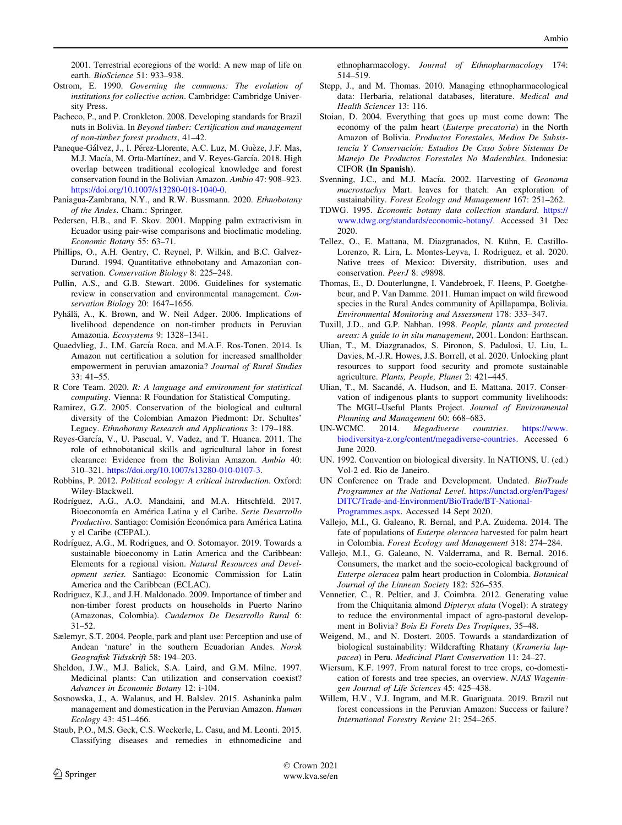<span id="page-15-0"></span>2001. Terrestrial ecoregions of the world: A new map of life on earth. BioScience 51: 933–938.

- Ostrom, E. 1990. Governing the commons: The evolution of institutions for collective action. Cambridge: Cambridge University Press.
- Pacheco, P., and P. Cronkleton. 2008. Developing standards for Brazil nuts in Bolivia. In Beyond timber: Certification and management of non-timber forest products, 41–42.
- Paneque-Gálvez, J., I. Pérez-Llorente, A.C. Luz, M. Guèze, J.F. Mas, M.J. Macía, M. Orta-Martínez, and V. Reyes-García. 2018. High overlap between traditional ecological knowledge and forest conservation found in the Bolivian Amazon. Ambio 47: 908–923. <https://doi.org/10.1007/s13280-018-1040-0>.
- Paniagua-Zambrana, N.Y., and R.W. Bussmann. 2020. Ethnobotany of the Andes. Cham.: Springer.
- Pedersen, H.B., and F. Skov. 2001. Mapping palm extractivism in Ecuador using pair-wise comparisons and bioclimatic modeling. Economic Botany 55: 63–71.
- Phillips, O., A.H. Gentry, C. Reynel, P. Wilkin, and B.C. Galvez-Durand. 1994. Quantitative ethnobotany and Amazonian conservation. Conservation Biology 8: 225–248.
- Pullin, A.S., and G.B. Stewart. 2006. Guidelines for systematic review in conservation and environmental management. Conservation Biology 20: 1647–1656.
- Pyhälä, A., K. Brown, and W. Neil Adger. 2006. Implications of livelihood dependence on non-timber products in Peruvian Amazonia. Ecosystems 9: 1328–1341.
- Quaedvlieg, J., I.M. García Roca, and M.A.F. Ros-Tonen. 2014. Is Amazon nut certification a solution for increased smallholder empowerment in peruvian amazonia? Journal of Rural Studies 33: 41–55.
- R Core Team. 2020. R: A language and environment for statistical computing. Vienna: R Foundation for Statistical Computing.
- Ramirez, G.Z. 2005. Conservation of the biological and cultural diversity of the Colombian Amazon Piedmont: Dr. Schultes' Legacy. Ethnobotany Research and Applications 3: 179–188.
- Reyes-García, V., U. Pascual, V. Vadez, and T. Huanca. 2011. The role of ethnobotanical skills and agricultural labor in forest clearance: Evidence from the Bolivian Amazon. Ambio 40: 310–321. [https://doi.org/10.1007/s13280-010-0107-3.](https://doi.org/10.1007/s13280-010-0107-3)
- Robbins, P. 2012. Political ecology: A critical introduction. Oxford: Wiley-Blackwell.
- Rodríguez, A.G., A.O. Mandaini, and M.A. Hitschfeld. 2017. Bioeconomía en América Latina y el Caribe. Serie Desarrollo Productivo. Santiago: Comisión Económica para América Latina y el Caribe (CEPAL).
- Rodríguez, A.G., M. Rodrigues, and O. Sotomayor. 2019. Towards a sustainable bioeconomy in Latin America and the Caribbean: Elements for a regional vision. Natural Resources and Development series. Santiago: Economic Commission for Latin America and the Caribbean (ECLAC).
- Rodriguez, K.J., and J.H. Maldonado. 2009. Importance of timber and non-timber forest products on households in Puerto Narino (Amazonas, Colombia). Cuadernos De Desarrollo Rural 6: 31–52.
- Sælemyr, S.T. 2004. People, park and plant use: Perception and use of Andean 'nature' in the southern Ecuadorian Andes. Norsk Geografisk Tidsskrift 58: 194–203.
- Sheldon, J.W., M.J. Balick, S.A. Laird, and G.M. Milne. 1997. Medicinal plants: Can utilization and conservation coexist? Advances in Economic Botany 12: i-104.
- Sosnowska, J., A. Walanus, and H. Balslev. 2015. Ashaninka palm management and domestication in the Peruvian Amazon. Human Ecology 43: 451–466.
- Staub, P.O., M.S. Geck, C.S. Weckerle, L. Casu, and M. Leonti. 2015. Classifying diseases and remedies in ethnomedicine and

ethnopharmacology. Journal of Ethnopharmacology 174: 514–519.

- Stepp, J., and M. Thomas. 2010. Managing ethnopharmacological data: Herbaria, relational databases, literature. Medical and Health Sciences 13: 116.
- Stoian, D. 2004. Everything that goes up must come down: The economy of the palm heart (Euterpe precatoria) in the North Amazon of Bolivia. Productos Forestales, Medios De Subsistencia Y Conservación: Estudios De Caso Sobre Sistemas De Manejo De Productos Forestales No Maderables. Indonesia: CIFOR (In Spanish).
- Svenning, J.C., and M.J. Macía. 2002. Harvesting of Geonoma macrostachys Mart. leaves for thatch: An exploration of sustainability. Forest Ecology and Management 167: 251–262.
- TDWG. 1995. Economic botany data collection standard. [https://](https://www.tdwg.org/standards/economic-botany/) [www.tdwg.org/standards/economic-botany/](https://www.tdwg.org/standards/economic-botany/). Accessed 31 Dec 2020.
- Tellez, O., E. Mattana, M. Diazgranados, N. Kühn, E. Castillo-Lorenzo, R. Lira, L. Montes-Leyva, I. Rodriguez, et al. 2020. Native trees of Mexico: Diversity, distribution, uses and conservation. PeerJ 8: e9898.
- Thomas, E., D. Douterlungne, I. Vandebroek, F. Heens, P. Goetghebeur, and P. Van Damme. 2011. Human impact on wild firewood species in the Rural Andes community of Apillapampa, Bolivia. Environmental Monitoring and Assessment 178: 333–347.
- Tuxill, J.D., and G.P. Nabhan. 1998. People, plants and protected areas: A guide to in situ management, 2001. London: Earthscan.
- Ulian, T., M. Diazgranados, S. Pironon, S. Padulosi, U. Liu, L. Davies, M.-J.R. Howes, J.S. Borrell, et al. 2020. Unlocking plant resources to support food security and promote sustainable agriculture. Plants, People, Planet 2: 421–445.
- Ulian, T., M. Sacandé, A. Hudson, and E. Mattana. 2017. Conservation of indigenous plants to support community livelihoods: The MGU–Useful Plants Project. Journal of Environmental Planning and Management 60: 668–683.
- UN-WCMC. 2014. Megadiverse countries. [https://www.](https://www.biodiversitya-z.org/content/megadiverse-countries) [biodiversitya-z.org/content/megadiverse-countries](https://www.biodiversitya-z.org/content/megadiverse-countries). Accessed 6 June 2020.
- UN. 1992. Convention on biological diversity. In NATIONS, U. (ed.) Vol-2 ed. Rio de Janeiro.
- UN Conference on Trade and Development. Undated. BioTrade Programmes at the National Level. [https://unctad.org/en/Pages/](https://unctad.org/en/Pages/DITC/Trade-and-Environment/BioTrade/BT-National-Programmes.aspx) [DITC/Trade-and-Environment/BioTrade/BT-National-](https://unctad.org/en/Pages/DITC/Trade-and-Environment/BioTrade/BT-National-Programmes.aspx)[Programmes.aspx.](https://unctad.org/en/Pages/DITC/Trade-and-Environment/BioTrade/BT-National-Programmes.aspx) Accessed 14 Sept 2020.
- Vallejo, M.I., G. Galeano, R. Bernal, and P.A. Zuidema. 2014. The fate of populations of Euterpe oleracea harvested for palm heart in Colombia. Forest Ecology and Management 318: 274–284.
- Vallejo, M.I., G. Galeano, N. Valderrama, and R. Bernal. 2016. Consumers, the market and the socio-ecological background of Euterpe oleracea palm heart production in Colombia. Botanical Journal of the Linnean Society 182: 526–535.
- Vennetier, C., R. Peltier, and J. Coimbra. 2012. Generating value from the Chiquitania almond Dipteryx alata (Vogel): A strategy to reduce the environmental impact of agro-pastoral development in Bolivia? Bois Et Forets Des Tropiques, 35–48.
- Weigend, M., and N. Dostert. 2005. Towards a standardization of biological sustainability: Wildcrafting Rhatany (Krameria lappacea) in Peru. Medicinal Plant Conservation 11: 24–27.
- Wiersum, K.F. 1997. From natural forest to tree crops, co-domestication of forests and tree species, an overview. NJAS Wageningen Journal of Life Sciences 45: 425–438.
- Willem, H.V., V.J. Ingram, and M.R. Guariguata. 2019. Brazil nut forest concessions in the Peruvian Amazon: Success or failure? International Forestry Review 21: 254–265.